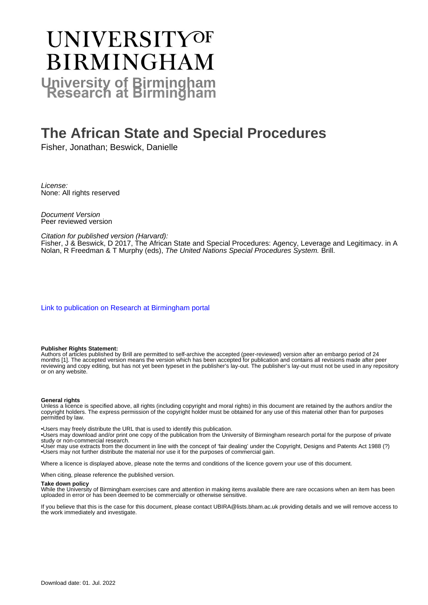# UNIVERSITYOF **BIRMINGHAM University of Birmingham**

# **The African State and Special Procedures**

Fisher, Jonathan; Beswick, Danielle

License: None: All rights reserved

Document Version Peer reviewed version

Citation for published version (Harvard):

Fisher, J & Beswick, D 2017, The African State and Special Procedures: Agency, Leverage and Legitimacy. in A Nolan, R Freedman & T Murphy (eds), The United Nations Special Procedures System. Brill.

[Link to publication on Research at Birmingham portal](https://birmingham.elsevierpure.com/en/publications/e4fb5c4f-b3a3-426c-9331-5a1f1e65cf97)

#### **Publisher Rights Statement:**

Authors of articles published by Brill are permitted to self-archive the accepted (peer-reviewed) version after an embargo period of 24 months [1]. The accepted version means the version which has been accepted for publication and contains all revisions made after peer reviewing and copy editing, but has not yet been typeset in the publisher's lay-out. The publisher's lay-out must not be used in any repository or on any website.

#### **General rights**

Unless a licence is specified above, all rights (including copyright and moral rights) in this document are retained by the authors and/or the copyright holders. The express permission of the copyright holder must be obtained for any use of this material other than for purposes permitted by law.

• Users may freely distribute the URL that is used to identify this publication.

• Users may download and/or print one copy of the publication from the University of Birmingham research portal for the purpose of private study or non-commercial research.

• User may use extracts from the document in line with the concept of 'fair dealing' under the Copyright, Designs and Patents Act 1988 (?) • Users may not further distribute the material nor use it for the purposes of commercial gain.

Where a licence is displayed above, please note the terms and conditions of the licence govern your use of this document.

When citing, please reference the published version.

#### **Take down policy**

While the University of Birmingham exercises care and attention in making items available there are rare occasions when an item has been uploaded in error or has been deemed to be commercially or otherwise sensitive.

If you believe that this is the case for this document, please contact UBIRA@lists.bham.ac.uk providing details and we will remove access to the work immediately and investigate.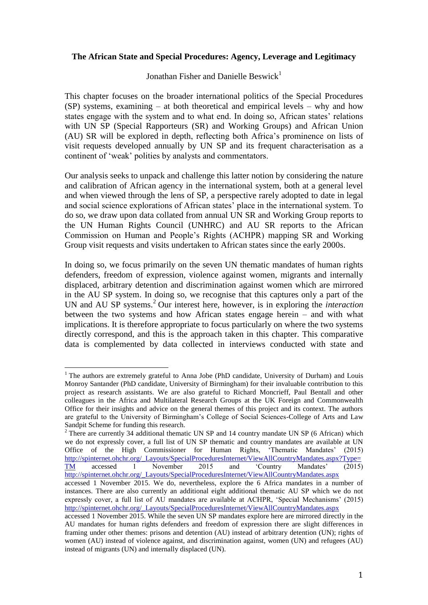#### **The African State and Special Procedures: Agency, Leverage and Legitimacy**

# Jonathan Fisher and Danielle Beswick<sup>1</sup>

This chapter focuses on the broader international politics of the Special Procedures (SP) systems, examining – at both theoretical and empirical levels – why and how states engage with the system and to what end. In doing so, African states' relations with UN SP (Special Rapporteurs (SR) and Working Groups) and African Union (AU) SR will be explored in depth, reflecting both Africa's prominence on lists of visit requests developed annually by UN SP and its frequent characterisation as a continent of 'weak' polities by analysts and commentators.

Our analysis seeks to unpack and challenge this latter notion by considering the nature and calibration of African agency in the international system, both at a general level and when viewed through the lens of SP, a perspective rarely adopted to date in legal and social science explorations of African states' place in the international system. To do so, we draw upon data collated from annual UN SR and Working Group reports to the UN Human Rights Council (UNHRC) and AU SR reports to the African Commission on Human and People's Rights (ACHPR) mapping SR and Working Group visit requests and visits undertaken to African states since the early 2000s.

In doing so, we focus primarily on the seven UN thematic mandates of human rights defenders, freedom of expression, violence against women, migrants and internally displaced, arbitrary detention and discrimination against women which are mirrored in the AU SP system. In doing so, we recognise that this captures only a part of the UN and AU SP systems.<sup>2</sup> Our interest here, however, is in exploring the *interaction* between the two systems and how African states engage herein – and with what implications. It is therefore appropriate to focus particularly on where the two systems directly correspond, and this is the approach taken in this chapter. This comparative data is complemented by data collected in interviews conducted with state and

<sup>&</sup>lt;sup>1</sup> The authors are extremely grateful to Anna Jobe (PhD candidate, University of Durham) and Louis Monroy Santander (PhD candidate, University of Birmingham) for their invaluable contribution to this project as research assistants. We are also grateful to Richard Moncrieff, Paul Bentall and other colleagues in the Africa and Multilateral Research Groups at the UK Foreign and Commonwealth Office for their insights and advice on the general themes of this project and its context. The authors are grateful to the University of Birmingham's College of Social Sciences-College of Arts and Law Sandpit Scheme for funding this research.

 $2^2$  There are currently 34 additional thematic UN SP and 14 country mandate UN SP (6 African) which we do not expressly cover, a full list of UN SP thematic and country mandates are available at UN Office of the High Commissioner for Human Rights, 'Thematic Mandates' (2015) [http://spinternet.ohchr.org/\\_Layouts/SpecialProceduresInternet/ViewAllCountryMandates.aspx?Type=](http://spinternet.ohchr.org/_Layouts/SpecialProceduresInternet/ViewAllCountryMandates.aspx?Type=TM) [TM](http://spinternet.ohchr.org/_Layouts/SpecialProceduresInternet/ViewAllCountryMandates.aspx?Type=TM) accessed 1 November 2015 and 'Country Mandates' (2015) [http://spinternet.ohchr.org/\\_Layouts/SpecialProceduresInternet/ViewAllCountryMandates.aspx](http://spinternet.ohchr.org/_Layouts/SpecialProceduresInternet/ViewAllCountryMandates.aspx)

accessed 1 November 2015. We do, nevertheless, explore the 6 Africa mandates in a number of instances. There are also currently an additional eight additional thematic AU SP which we do not expressly cover, a full list of AU mandates are available at ACHPR, 'Special Mechanisms' (2015) [http://spinternet.ohchr.org/\\_Layouts/SpecialProceduresInternet/ViewAllCountryMandates.aspx](http://spinternet.ohchr.org/_Layouts/SpecialProceduresInternet/ViewAllCountryMandates.aspx)

accessed 1 November 2015. While the seven UN SP mandates explore here are mirrored directly in the AU mandates for human rights defenders and freedom of expression there are slight differences in framing under other themes: prisons and detention (AU) instead of arbitrary detention (UN); rights of women (AU) instead of violence against, and discrimination against, women (UN) and refugees (AU) instead of migrants (UN) and internally displaced (UN).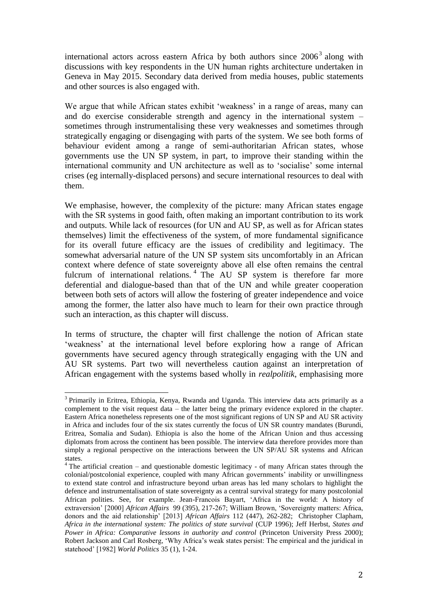international actors across eastern Africa by both authors since  $2006<sup>3</sup>$  along with discussions with key respondents in the UN human rights architecture undertaken in Geneva in May 2015. Secondary data derived from media houses, public statements and other sources is also engaged with.

We argue that while African states exhibit 'weakness' in a range of areas, many can and do exercise considerable strength and agency in the international system – sometimes through instrumentalising these very weaknesses and sometimes through strategically engaging or disengaging with parts of the system. We see both forms of behaviour evident among a range of semi-authoritarian African states, whose governments use the UN SP system, in part, to improve their standing within the international community and UN architecture as well as to 'socialise' some internal crises (eg internally-displaced persons) and secure international resources to deal with them.

We emphasise, however, the complexity of the picture: many African states engage with the SR systems in good faith, often making an important contribution to its work and outputs. While lack of resources (for UN and AU SP, as well as for African states themselves) limit the effectiveness of the system, of more fundamental significance for its overall future efficacy are the issues of credibility and legitimacy. The somewhat adversarial nature of the UN SP system sits uncomfortably in an African context where defence of state sovereignty above all else often remains the central fulcrum of international relations.<sup>4</sup> The AU SP system is therefore far more deferential and dialogue-based than that of the UN and while greater cooperation between both sets of actors will allow the fostering of greater independence and voice among the former, the latter also have much to learn for their own practice through such an interaction, as this chapter will discuss.

In terms of structure, the chapter will first challenge the notion of African state 'weakness' at the international level before exploring how a range of African governments have secured agency through strategically engaging with the UN and AU SR systems. Part two will nevertheless caution against an interpretation of African engagement with the systems based wholly in *realpolitik*, emphasising more

 $\overline{a}$ <sup>3</sup> Primarily in Eritrea, Ethiopia, Kenya, Rwanda and Uganda. This interview data acts primarily as a complement to the visit request data – the latter being the primary evidence explored in the chapter. Eastern Africa nonetheless represents one of the most significant regions of UN SP and AU SR activity in Africa and includes four of the six states currently the focus of UN SR country mandates (Burundi, Eritrea, Somalia and Sudan). Ethiopia is also the home of the African Union and thus accessing diplomats from across the continent has been possible. The interview data therefore provides more than simply a regional perspective on the interactions between the UN SP/AU SR systems and African states.

 $4$  The artificial creation – and questionable domestic legitimacy - of many African states through the colonial/postcolonial experience, coupled with many African governments' inability or unwillingness to extend state control and infrastructure beyond urban areas has led many scholars to highlight the defence and instrumentalisation of state sovereignty as a central survival strategy for many postcolonial African polities. See, for example. Jean-Francois Bayart, 'Africa in the world: A history of extraversion' [2000] *African Affairs* 99 (395), 217-267; William Brown, 'Sovereignty matters: Africa, donors and the aid relationship' [2013] *African Affairs* 112 (447), 262-282; Christopher Clapham, *Africa in the international system: The politics of state survival* (CUP 1996); Jeff Herbst, *States and Power in Africa: Comparative lessons in authority and control* (Princeton University Press 2000); Robert Jackson and Carl Rosberg, 'Why Africa's weak states persist: The empirical and the juridical in statehood' [1982] *World Politics* 35 (1), 1-24.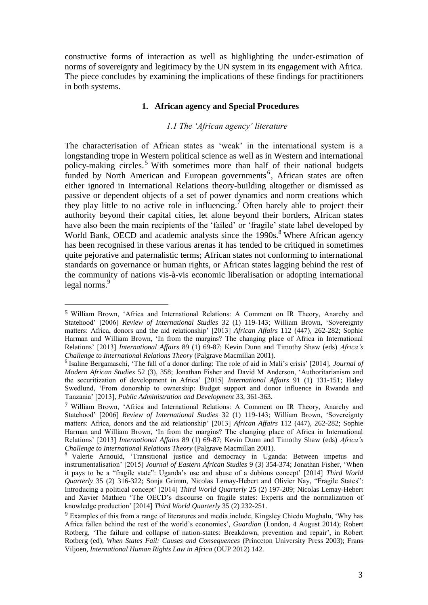constructive forms of interaction as well as highlighting the under-estimation of norms of sovereignty and legitimacy by the UN system in its engagement with Africa. The piece concludes by examining the implications of these findings for practitioners in both systems.

#### **1. African agency and Special Procedures**

#### *1.1 The 'African agency' literature*

The characterisation of African states as 'weak' in the international system is a longstanding trope in Western political science as well as in Western and international policy-making circles. <sup>5</sup> With sometimes more than half of their national budgets funded by North American and European governments<sup>6</sup>, African states are often either ignored in International Relations theory-building altogether or dismissed as passive or dependent objects of a set of power dynamics and norm creations which they play little to no active role in influencing.<sup>7</sup> Often barely able to project their authority beyond their capital cities, let alone beyond their borders, African states have also been the main recipients of the 'failed' or 'fragile' state label developed by World Bank, OECD and academic analysts since the  $1990s$ .<sup>8</sup> Where African agency has been recognised in these various arenas it has tended to be critiqued in sometimes quite pejorative and paternalistic terms; African states not conforming to international standards on governance or human rights, or African states lagging behind the rest of the community of nations vis-à-vis economic liberalisation or adopting international legal norms.<sup>9</sup>

<sup>5</sup> William Brown, 'Africa and International Relations: A Comment on IR Theory, Anarchy and Statehood' [2006] *Review of International Studies* 32 (1) 119-143; William Brown, 'Sovereignty matters: Africa, donors and the aid relationship' [2013] *African Affairs* 112 (447), 262-282; Sophie Harman and William Brown, 'In from the margins? The changing place of Africa in International Relations' [2013] *International Affairs* 89 (1) 69-87; Kevin Dunn and Timothy Shaw (eds) *Africa's Challenge to International Relations Theory* (Palgrave Macmillan 2001).

<sup>6</sup> Isaline Bergamaschi, 'The fall of a donor darling: The role of aid in Mali's crisis' [2014], *Journal of Modern African Studies* 52 (3), 358; Jonathan Fisher and David M Anderson, 'Authoritarianism and the securitization of development in Africa' [2015] *International Affairs* 91 (1) 131-151; Haley Swedlund, 'From donorship to ownership: Budget support and donor influence in Rwanda and Tanzania' [2013], *Public Administration and Development* 33, 361-363.

<sup>7</sup> William Brown, 'Africa and International Relations: A Comment on IR Theory, Anarchy and Statehood' [2006] *Review of International Studies* 32 (1) 119-143; William Brown, 'Sovereignty matters: Africa, donors and the aid relationship' [2013] *African Affairs* 112 (447), 262-282; Sophie Harman and William Brown, 'In from the margins? The changing place of Africa in International Relations' [2013] *International Affairs* 89 (1) 69-87; Kevin Dunn and Timothy Shaw (eds) *Africa's Challenge to International Relations Theory* (Palgrave Macmillan 2001).

<sup>&</sup>lt;sup>8</sup> Valerie Arnould, 'Transitional justice and democracy in Uganda: Between impetus and instrumentalisation' [2015] *Journal of Eastern African Studies* 9 (3) 354-374; Jonathan Fisher, 'When it pays to be a "fragile state": Uganda's use and abuse of a dubious concept' [2014] *Third World Quarterly* 35 (2) 316-322; Sonja Grimm, Nicolas Lemay-Hebert and Olivier Nay, "Fragile States": Introducing a political concept' [2014] *Third World Quarterly* 25 (2) 197-209; Nicolas Lemay-Hebert and Xavier Mathieu 'The OECD's discourse on fragile states: Experts and the normalization of knowledge production' [2014] *Third World Quarterly* 35 (2) 232-251.

<sup>9</sup> Examples of this from a range of literatures and media include, Kingsley Chiedu Moghalu, 'Why has Africa fallen behind the rest of the world's economies', *Guardian* (London, 4 August 2014); Robert Rotberg, 'The failure and collapse of nation-states: Breakdown, prevention and repair', in Robert Rotberg (ed), *When States Fail: Causes and Consequences* (Princeton University Press 2003); Frans Viljoen, *International Human Rights Law in Africa* (OUP 2012) 142.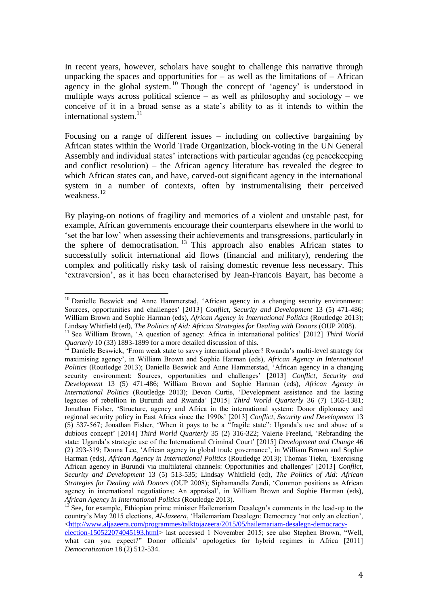In recent years, however, scholars have sought to challenge this narrative through unpacking the spaces and opportunities for  $-$  as well as the limitations of  $-$  African agency in the global system.<sup>10</sup> Though the concept of 'agency' is understood in multiple ways across political science – as well as philosophy and sociology – we conceive of it in a broad sense as a state's ability to as it intends to within the international system.<sup>11</sup>

Focusing on a range of different issues – including on collective bargaining by African states within the World Trade Organization, block-voting in the UN General Assembly and individual states' interactions with particular agendas (eg peacekeeping and conflict resolution) – the African agency literature has revealed the degree to which African states can, and have, carved-out significant agency in the international system in a number of contexts, often by instrumentalising their perceived weakness. 12

By playing-on notions of fragility and memories of a violent and unstable past, for example, African governments encourage their counterparts elsewhere in the world to 'set the bar low' when assessing their achievements and transgressions, particularly in the sphere of democratisation.<sup>13</sup> This approach also enables African states to successfully solicit international aid flows (financial and military), rendering the complex and politically risky task of raising domestic revenue less necessary. This 'extraversion', as it has been characterised by Jean-Francois Bayart, has become a

<sup>&</sup>lt;sup>10</sup> Danielle Beswick and Anne Hammerstad, 'African agency in a changing security environment: Sources, opportunities and challenges' [2013] *Conflict, Security and Development* 13 (5) 471-486; William Brown and Sophie Harman (eds), *African Agency in International Politics* (Routledge 2013); Lindsay Whitfield (ed), *The Politics of Aid: African Strategies for Dealing with Donors* (OUP 2008).

<sup>&</sup>lt;sup>11</sup> See William Brown, 'A question of agency: Africa in international politics' [2012] *Third World Quarterly* 10 (33) 1893-1899 for a more detailed discussion of this.

<sup>&</sup>lt;sup>12</sup> Danielle Beswick, 'From weak state to savvy international player? Rwanda's multi-level strategy for maximising agency', in William Brown and Sophie Harman (eds), *African Agency in International Politics* (Routledge 2013); Danielle Beswick and Anne Hammerstad, 'African agency in a changing security environment: Sources, opportunities and challenges' [2013] *Conflict, Security and Development* 13 (5) 471-486; William Brown and Sophie Harman (eds), *African Agency in International Politics* (Routledge 2013); Devon Curtis, 'Development assistance and the lasting legacies of rebellion in Burundi and Rwanda' [2015] *Third World Quarterly* 36 (7) 1365-1381; Jonathan Fisher, 'Structure, agency and Africa in the international system: Donor diplomacy and regional security policy in East Africa since the 1990s' [2013] *Conflict, Security and Development* 13 (5) 537-567; Jonathan Fisher, 'When it pays to be a "fragile state": Uganda's use and abuse of a dubious concept' [2014] *Third World Quarterly* 35 (2) 316-322; Valerie Freeland, 'Rebranding the state: Uganda's strategic use of the International Criminal Court' [2015] *Development and Change* 46 (2) 293-319; Donna Lee, 'African agency in global trade governance', in William Brown and Sophie Harman (eds), *African Agency in International Politics* (Routledge 2013); Thomas Tieku, 'Exercising African agency in Burundi via multilateral channels: Opportunities and challenges' [2013] *Conflict, Security and Development* 13 (5) 513-535; Lindsay Whitfield (ed), *The Politics of Aid: African Strategies for Dealing with Donors* (OUP 2008); Siphamandla Zondi, 'Common positions as African agency in international negotiations: An appraisal', in William Brown and Sophie Harman (eds), *African Agency in International Politics* (Routledge 2013).

<sup>&</sup>lt;sup>13</sup> See, for example, Ethiopian prime minister Hailemariam Desalegn's comments in the lead-up to the country's May 2015 elections, *Al-Jazeera*, 'Hailemariam Desalegn: Democracy 'not only an election', [<http://www.aljazeera.com/programmes/talktojazeera/2015/05/hailemariam-desalegn-democracy-](http://www.aljazeera.com/programmes/talktojazeera/2015/05/hailemariam-desalegn-democracy-election-150522074045193.html)

[election-150522074045193.html>](http://www.aljazeera.com/programmes/talktojazeera/2015/05/hailemariam-desalegn-democracy-election-150522074045193.html) last accessed 1 November 2015; see also Stephen Brown, "Well, what can you expect?" Donor officials' apologetics for hybrid regimes in Africa [2011] *Democratization* 18 (2) 512-534.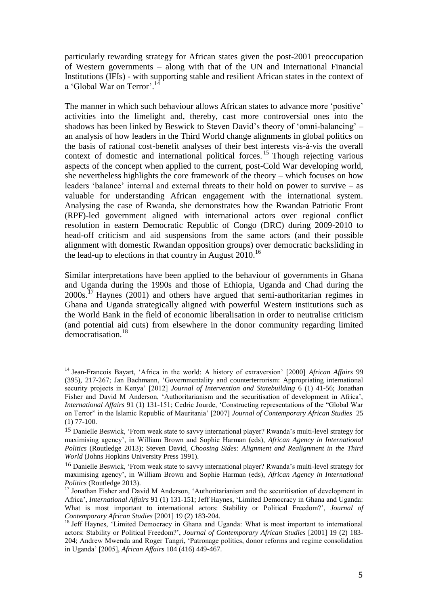particularly rewarding strategy for African states given the post-2001 preoccupation of Western governments – along with that of the UN and International Financial Institutions (IFIs) - with supporting stable and resilient African states in the context of a 'Global War on Terror'.<sup>14</sup>

The manner in which such behaviour allows African states to advance more 'positive' activities into the limelight and, thereby, cast more controversial ones into the shadows has been linked by Beswick to Steven David's theory of 'omni-balancing' – an analysis of how leaders in the Third World change alignments in global politics on the basis of rational cost-benefit analyses of their best interests vis-à-vis the overall context of domestic and international political forces. <sup>15</sup> Though rejecting various aspects of the concept when applied to the current, post-Cold War developing world, she nevertheless highlights the core framework of the theory – which focuses on how leaders 'balance' internal and external threats to their hold on power to survive – as valuable for understanding African engagement with the international system. Analysing the case of Rwanda, she demonstrates how the Rwandan Patriotic Front (RPF)-led government aligned with international actors over regional conflict resolution in eastern Democratic Republic of Congo (DRC) during 2009-2010 to head-off criticism and aid suspensions from the same actors (and their possible alignment with domestic Rwandan opposition groups) over democratic backsliding in the lead-up to elections in that country in August 2010.<sup>16</sup>

Similar interpretations have been applied to the behaviour of governments in Ghana and Uganda during the 1990s and those of Ethiopia, Uganda and Chad during the  $2000s$ .<sup>17</sup> Haynes (2001) and others have argued that semi-authoritarian regimes in Ghana and Uganda strategically aligned with powerful Western institutions such as the World Bank in the field of economic liberalisation in order to neutralise criticism (and potential aid cuts) from elsewhere in the donor community regarding limited democratisation.<sup>18</sup>

 $\overline{a}$ <sup>14</sup> Jean-Francois Bayart, 'Africa in the world: A history of extraversion' [2000] *African Affairs* 99 (395), 217-267; Jan Bachmann, 'Governmentality and counterterrorism: Appropriating international security projects in Kenya' [2012] *Journal of Intervention and Statebuilding* 6 (1) 41-56; Jonathan Fisher and David M Anderson, 'Authoritarianism and the securitisation of development in Africa', *International Affairs* 91 (1) 131-151; Cedric Jourde, 'Constructing representations of the "Global War on Terror" in the Islamic Republic of Mauritania' [2007] *Journal of Contemporary African Studies* 25 (1) 77-100.

<sup>15</sup> Danielle Beswick, 'From weak state to savvy international player? Rwanda's multi-level strategy for maximising agency', in William Brown and Sophie Harman (eds), *African Agency in International Politics* (Routledge 2013); Steven David, *Choosing Sides: Alignment and Realignment in the Third World* (Johns Hopkins University Press 1991).

<sup>16</sup> Danielle Beswick, 'From weak state to savvy international player? Rwanda's multi-level strategy for maximising agency', in William Brown and Sophie Harman (eds), *African Agency in International Politics* (Routledge 2013).

<sup>&</sup>lt;sup>17</sup> Jonathan Fisher and David M Anderson, 'Authoritarianism and the securitisation of development in Africa', *International Affairs* 91 (1) 131-151; Jeff Haynes, 'Limited Democracy in Ghana and Uganda: What is most important to international actors: Stability or Political Freedom?', *Journal of Contemporary African Studies* [2001] 19 (2) 183-204.

<sup>&</sup>lt;sup>18</sup> Jeff Haynes, 'Limited Democracy in Ghana and Uganda: What is most important to international actors: Stability or Political Freedom?', *Journal of Contemporary African Studies* [2001] 19 (2) 183- 204; Andrew Mwenda and Roger Tangri, 'Patronage politics, donor reforms and regime consolidation in Uganda' [2005], *African Affairs* 104 (416) 449-467.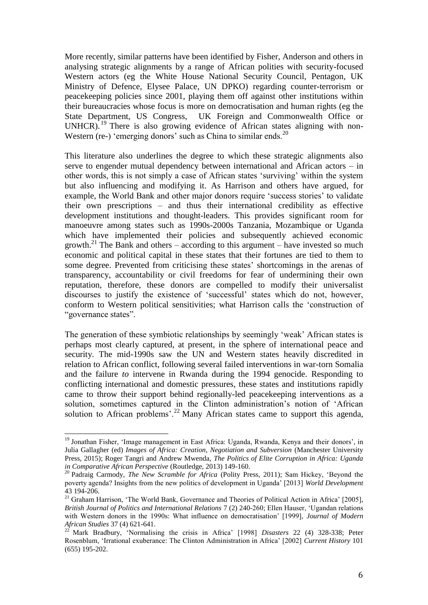More recently, similar patterns have been identified by Fisher, Anderson and others in analysing strategic alignments by a range of African polities with security-focused Western actors (eg the White House National Security Council, Pentagon, UK Ministry of Defence, Elysee Palace, UN DPKO) regarding counter-terrorism or peacekeeping policies since 2001, playing them off against other institutions within their bureaucracies whose focus is more on democratisation and human rights (eg the State Department, US Congress, UK Foreign and Commonwealth Office or UNHCR).<sup>19</sup> There is also growing evidence of African states aligning with non-Western (re-) 'emerging donors' such as China to similar ends.<sup>20</sup>

This literature also underlines the degree to which these strategic alignments also serve to engender mutual dependency between international and African actors – in other words, this is not simply a case of African states 'surviving' within the system but also influencing and modifying it. As Harrison and others have argued, for example, the World Bank and other major donors require 'success stories' to validate their own prescriptions – and thus their international credibility as effective development institutions and thought-leaders. This provides significant room for manoeuvre among states such as 1990s-2000s Tanzania, Mozambique or Uganda which have implemented their policies and subsequently achieved economic growth.<sup>21</sup> The Bank and others – according to this argument – have invested so much economic and political capital in these states that their fortunes are tied to them to some degree. Prevented from criticising these states' shortcomings in the arenas of transparency, accountability or civil freedoms for fear of undermining their own reputation, therefore, these donors are compelled to modify their universalist discourses to justify the existence of 'successful' states which do not, however, conform to Western political sensitivities; what Harrison calls the 'construction of "governance states".

The generation of these symbiotic relationships by seemingly 'weak' African states is perhaps most clearly captured, at present, in the sphere of international peace and security. The mid-1990s saw the UN and Western states heavily discredited in relation to African conflict, following several failed interventions in war-torn Somalia and the failure *to* intervene in Rwanda during the 1994 genocide. Responding to conflicting international and domestic pressures, these states and institutions rapidly came to throw their support behind regionally-led peacekeeping interventions as a solution, sometimes captured in the Clinton administration's notion of 'African solution to African problems'.<sup>22</sup> Many African states came to support this agenda,

<sup>&</sup>lt;sup>19</sup> Jonathan Fisher, 'Image management in East Africa: Uganda, Rwanda, Kenya and their donors', in Julia Gallagher (ed) *Images of Africa: Creation, Negotiation and Subversion* (Manchester University Press, 2015); Roger Tangri and Andrew Mwenda, *The Politics of Elite Corruption in Africa: Uganda in Comparative African Perspective* (Routledge, 2013) 149-160.

<sup>20</sup> Padraig Carmody, *The New Scramble for Africa* (Polity Press, 2011); Sam Hickey, 'Beyond the poverty agenda? Insights from the new politics of development in Uganda' [2013] *World Development*  43 194-206.

<sup>&</sup>lt;sup>21</sup> Graham Harrison, 'The World Bank, Governance and Theories of Political Action in Africa' [2005], *British Journal of Politics and International Relations* 7 (2) 240-260; Ellen Hauser, 'Ugandan relations with Western donors in the 1990s: What influence on democratisation' [1999], *Journal of Modern African Studies* 37 (4) 621-641.

<sup>22</sup> Mark Bradbury, 'Normalising the crisis in Africa' [1998] *Disasters* 22 (4) 328-338; Peter Rosenblum, 'Irrational exuberance: The Clinton Administration in Africa' [2002] *Current History* 101 (655) 195-202.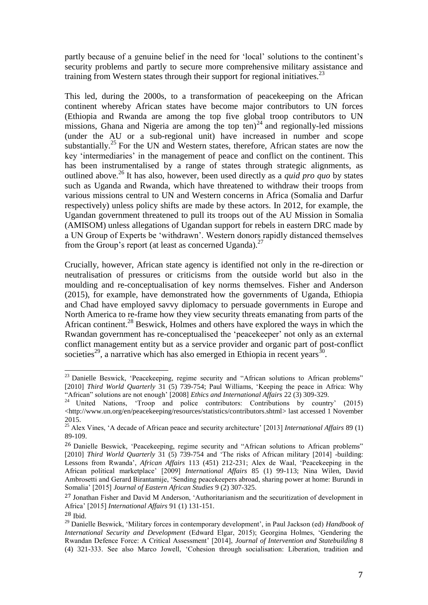partly because of a genuine belief in the need for 'local' solutions to the continent's security problems and partly to secure more comprehensive military assistance and training from Western states through their support for regional initiatives.<sup>23</sup>

This led, during the 2000s, to a transformation of peacekeeping on the African continent whereby African states have become major contributors to UN forces (Ethiopia and Rwanda are among the top five global troop contributors to UN missions, Ghana and Nigeria are among the top ten)<sup>24</sup> and regionally-led missions (under the AU or a sub-regional unit) have increased in number and scope substantially.<sup>25</sup> For the UN and Western states, therefore, African states are now the key 'intermediaries' in the management of peace and conflict on the continent. This has been instrumentalised by a range of states through strategic alignments, as outlined above.<sup>26</sup> It has also, however, been used directly as a *quid pro quo* by states such as Uganda and Rwanda, which have threatened to withdraw their troops from various missions central to UN and Western concerns in Africa (Somalia and Darfur respectively) unless policy shifts are made by these actors. In 2012, for example, the Ugandan government threatened to pull its troops out of the AU Mission in Somalia (AMISOM) unless allegations of Ugandan support for rebels in eastern DRC made by a UN Group of Experts be 'withdrawn'. Western donors rapidly distanced themselves from the Group's report (at least as concerned Uganda).<sup>27</sup>

Crucially, however, African state agency is identified not only in the re-direction or neutralisation of pressures or criticisms from the outside world but also in the moulding and re-conceptualisation of key norms themselves. Fisher and Anderson (2015), for example, have demonstrated how the governments of Uganda, Ethiopia and Chad have employed savvy diplomacy to persuade governments in Europe and North America to re-frame how they view security threats emanating from parts of the African continent.<sup>28</sup> Beswick, Holmes and others have explored the ways in which the Rwandan government has re-conceptualised the 'peacekeeper' not only as an external conflict management entity but as a service provider and organic part of post-conflict societies<sup>29</sup>, a narrative which has also emerged in Ethiopia in recent years<sup>30</sup>.

<sup>&</sup>lt;sup>23</sup> Danielle Beswick, 'Peacekeeping, regime security and "African solutions to African problems" [2010] *Third World Quarterly* 31 (5) 739-754; Paul Williams, 'Keeping the peace in Africa: Why "African" solutions are not enough' [2008] *Ethics and International Affairs* 22 (3) 309-329.

<sup>&</sup>lt;sup>24</sup> United Nations, 'Troop and police contributors: Contributions by country' (2015) <http://www.un.org/en/peacekeeping/resources/statistics/contributors.shtml> last accessed 1 November 2015.

<sup>25</sup> Alex Vines, 'A decade of African peace and security architecture' [2013] *International Affairs* 89 (1) 89-109.

<sup>26</sup> Danielle Beswick, 'Peacekeeping, regime security and "African solutions to African problems" [2010] *Third World Quarterly* 31 (5) 739-754 and 'The risks of African military [2014] -building: Lessons from Rwanda', *African Affairs* 113 (451) 212-231; Alex de Waal, 'Peacekeeping in the African political marketplace' [2009] *International Affairs* 85 (1) 99-113; Nina Wilen, David Ambrosetti and Gerard Birantamije, 'Sending peacekeepers abroad, sharing power at home: Burundi in Somalia' [2015] *Journal of Eastern African Studies* 9 (2) 307-325.

<sup>&</sup>lt;sup>27</sup> Jonathan Fisher and David M Anderson, 'Authoritarianism and the securitization of development in Africa' [2015] *International Affairs* 91 (1) 131-151.

<sup>28</sup> Ibid.

<sup>29</sup> Danielle Beswick, 'Military forces in contemporary development', in Paul Jackson (ed) *Handbook of International Security and Development* (Edward Elgar, 2015); Georgina Holmes, 'Gendering the Rwandan Defence Force: A Critical Assessment' [2014], *Journal of Intervention and Statebuilding* 8 (4) 321-333. See also Marco Jowell, 'Cohesion through socialisation: Liberation, tradition and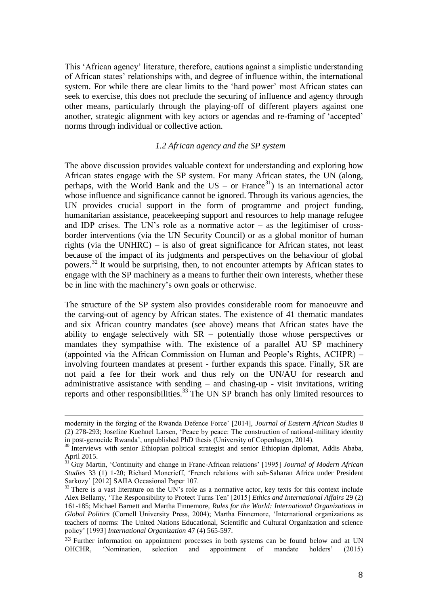This 'African agency' literature, therefore, cautions against a simplistic understanding of African states' relationships with, and degree of influence within, the international system. For while there are clear limits to the 'hard power' most African states can seek to exercise, this does not preclude the securing of influence and agency through other means, particularly through the playing-off of different players against one another, strategic alignment with key actors or agendas and re-framing of 'accepted' norms through individual or collective action.

### *1.2 African agency and the SP system*

The above discussion provides valuable context for understanding and exploring how African states engage with the SP system. For many African states, the UN (along, perhaps, with the World Bank and the  $US - or$  France<sup>31</sup>) is an international actor whose influence and significance cannot be ignored. Through its various agencies, the UN provides crucial support in the form of programme and project funding, humanitarian assistance, peacekeeping support and resources to help manage refugee and IDP crises. The UN's role as a normative actor  $-$  as the legitimiser of crossborder interventions (via the UN Security Council) or as a global monitor of human rights (via the UNHRC) – is also of great significance for African states, not least because of the impact of its judgments and perspectives on the behaviour of global powers.<sup>32</sup> It would be surprising, then, to not encounter attempts by African states to engage with the SP machinery as a means to further their own interests, whether these be in line with the machinery's own goals or otherwise.

The structure of the SP system also provides considerable room for manoeuvre and the carving-out of agency by African states. The existence of 41 thematic mandates and six African country mandates (see above) means that African states have the ability to engage selectively with SR – potentially those whose perspectives or mandates they sympathise with. The existence of a parallel AU SP machinery (appointed via the African Commission on Human and People's Rights, ACHPR) – involving fourteen mandates at present - further expands this space. Finally, SR are not paid a fee for their work and thus rely on the UN/AU for research and administrative assistance with sending – and chasing-up - visit invitations, writing reports and other responsibilities.<sup>33</sup> The UN SP branch has only limited resources to

modernity in the forging of the Rwanda Defence Force' [2014], *Journal of Eastern African Studies* 8 (2) 278-293; Josefine Kuehnel Larsen, 'Peace by peace: The construction of national-military identity in post-genocide Rwanda', unpublished PhD thesis (University of Copenhagen, 2014).

<sup>&</sup>lt;sup>30</sup> Interviews with senior Ethiopian political strategist and senior Ethiopian diplomat, Addis Ababa, April 2015.

<sup>31</sup> Guy Martin, 'Continuity and change in Franc-African relations' [1995] *Journal of Modern African Studies* 33 (1) 1-20; Richard Moncrieff, 'French relations with sub-Saharan Africa under President Sarkozy' [2012] SAIIA Occasional Paper 107.

 $32$  There is a vast literature on the UN's role as a normative actor, key texts for this context include Alex Bellamy, 'The Responsibility to Protect Turns Ten' [2015] *Ethics and International Affairs* 29 (2) 161-185; Michael Barnett and Martha Finnemore, *Rules for the World: International Organizations in Global Politics* (Cornell University Press, 2004); Martha Finnemore, 'International organizations as teachers of norms: The United Nations Educational, Scientific and Cultural Organization and science policy' [1993] *International Organization* 47 (4) 565-597.

<sup>33</sup> Further information on appointment processes in both systems can be found below and at UN OHCHR, 'Nomination, selection and appointment of mandate holders' (2015)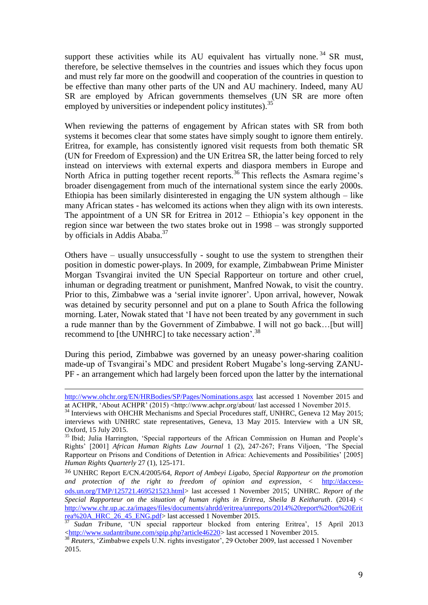support these activities while its AU equivalent has virtually none.<sup>34</sup> SR must, therefore, be selective themselves in the countries and issues which they focus upon and must rely far more on the goodwill and cooperation of the countries in question to be effective than many other parts of the UN and AU machinery. Indeed, many AU SR are employed by African governments themselves (UN SR are more often employed by universities or independent policy institutes).<sup>35</sup>

When reviewing the patterns of engagement by African states with SR from both systems it becomes clear that some states have simply sought to ignore them entirely. Eritrea, for example, has consistently ignored visit requests from both thematic SR (UN for Freedom of Expression) and the UN Eritrea SR, the latter being forced to rely instead on interviews with external experts and diaspora members in Europe and North Africa in putting together recent reports.<sup>36</sup> This reflects the Asmara regime's broader disengagement from much of the international system since the early 2000s. Ethiopia has been similarly disinterested in engaging the UN system although – like many African states - has welcomed its actions when they align with its own interests. The appointment of a UN SR for Eritrea in 2012 – Ethiopia's key opponent in the region since war between the two states broke out in 1998 – was strongly supported by officials in Addis Ababa.<sup>37</sup>

Others have – usually unsuccessfully - sought to use the system to strengthen their position in domestic power-plays. In 2009, for example, Zimbabwean Prime Minister Morgan Tsvangirai invited the UN Special Rapporteur on torture and other cruel, inhuman or degrading treatment or punishment, Manfred Nowak, to visit the country. Prior to this, Zimbabwe was a 'serial invite ignorer'. Upon arrival, however, Nowak was detained by security personnel and put on a plane to South Africa the following morning. Later, Nowak stated that 'I have not been treated by any government in such a rude manner than by the Government of Zimbabwe. I will not go back…[but will] recommend to [the UNHRC] to take necessary action'.<sup>38</sup>

During this period, Zimbabwe was governed by an uneasy power-sharing coalition made-up of Tsvangirai's MDC and president Robert Mugabe's long-serving ZANU-PF - an arrangement which had largely been forced upon the latter by the international

<http://www.ohchr.org/EN/HRBodies/SP/Pages/Nominations.aspx> last accessed 1 November 2015 and at ACHPR, 'About ACHPR' (2015) <http://www.achpr.org/about/ last accessed 1 November 2015.

<sup>&</sup>lt;sup>34</sup> Interviews with OHCHR Mechanisms and Special Procedures staff, UNHRC, Geneva 12 May 2015; interviews with UNHRC state representatives, Geneva, 13 May 2015. Interview with a UN SR, Oxford, 15 July 2015.

<sup>&</sup>lt;sup>35</sup> Ibid; Julia Harrington, 'Special rapporteurs of the African Commission on Human and People's Rights' [2001] *African Human Rights Law Journal* 1 (2), 247-267; Frans Viljoen, 'The Special Rapporteur on Prisons and Conditions of Detention in Africa: Achievements and Possibilities' [2005] *Human Rights Quarterly* 27 (1), 125-171.

<sup>36</sup> UNHRC Report E/CN.4/2005/64, *Report of Ambeyi Ligabo, Special Rapporteur on the promotion and protection of the right to freedom of opinion and expression*, < [http://daccess](http://daccess-ods.un.org/TMP/125721.469521523.html)[ods.un.org/TMP/125721.469521523.html>](http://daccess-ods.un.org/TMP/125721.469521523.html) last accessed 1 November 2015; UNHRC. *Report of the Special Rapporteur on the situation of human rights in Eritrea, Sheila B Keitharuth*. (2014) < [http://www.chr.up.ac.za/images/files/documents/ahrdd/eritrea/unreports/2014%20report%20on%20Erit](http://www.chr.up.ac.za/images/files/documents/ahrdd/eritrea/unreports/2014%20report%20on%20Eritrea%20A_HRC_26_45_ENG.pdf) [rea%20A\\_HRC\\_26\\_45\\_ENG.pdf>](http://www.chr.up.ac.za/images/files/documents/ahrdd/eritrea/unreports/2014%20report%20on%20Eritrea%20A_HRC_26_45_ENG.pdf) last accessed 1 November 2015.

<sup>&</sup>lt;sup>37</sup> *Sudan Tribune*, 'UN special rapporteur blocked from entering Eritrea', 15 April 2013 [<http://www.sudantribune.com/spip.php?article46220>](http://www.sudantribune.com/spip.php?article46220) last accessed 1 November 2015.

<sup>&</sup>lt;sup>38</sup> *Reuters*, 'Zimbabwe expels U.N. rights investigator', 29 October 2009, last accessed 1 November 2015.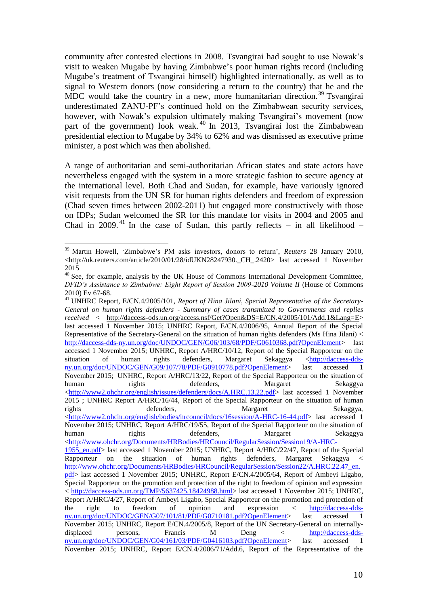community after contested elections in 2008. Tsvangirai had sought to use Nowak's visit to weaken Mugabe by having Zimbabwe's poor human rights record (including Mugabe's treatment of Tsvangirai himself) highlighted internationally, as well as to signal to Western donors (now considering a return to the country) that he and the MDC would take the country in a new, more humanitarian direction.<sup>39</sup> Tsvangirai underestimated ZANU-PF's continued hold on the Zimbabwean security services, however, with Nowak's expulsion ultimately making Tsvangirai's movement (now part of the government) look weak.  $40 \text{ In } 2013$ , Tsvangirai lost the Zimbabwean presidential election to Mugabe by 34% to 62% and was dismissed as executive prime minister, a post which was then abolished.

A range of authoritarian and semi-authoritarian African states and state actors have nevertheless engaged with the system in a more strategic fashion to secure agency at the international level. Both Chad and Sudan, for example, have variously ignored visit requests from the UN SR for human rights defenders and freedom of expression (Chad seven times between 2002-2011) but engaged more constructively with those on IDPs; Sudan welcomed the SR for this mandate for visits in 2004 and 2005 and Chad in 2009.<sup>41</sup> In the case of Sudan, this partly reflects – in all likelihood –

<sup>39</sup> Martin Howell, 'Zimbabwe's PM asks investors, donors to return', *Reuters* 28 January 2010, <http://uk.reuters.com/article/2010/01/28/idUKN28247930. CH .2420> last accessed 1 November 2015

<sup>&</sup>lt;sup>40</sup> See, for example, analysis by the UK House of Commons International Development Committee, *DFID's Assistance to Zimbabwe: Eight Report of Session 2009-2010 Volume II (House of Commons* 2010) Ev 67-68.

<sup>41</sup> UNHRC Report, E/CN.4/2005/101, *Report of Hina Jilani, Special Representative of the Secretary-General on human rights defenders - Summary of cases transmitted to Governments and replies received* < [http://daccess-ods.un.org/access.nsf/Get?Open&DS=E/CN.4/2005/101/Add.1&Lang=E>](http://daccess-ods.un.org/access.nsf/Get?Open&DS=E/CN.4/2005/101/Add.1&Lang=E) last accessed 1 November 2015; UNHRC Report, E/CN.4/2006/95, Annual Report of the Special Representative of the Secretary-General on the situation of human rights defenders (Ms Hina Jilani) < [http://daccess-dds-ny.un.org/doc/UNDOC/GEN/G06/103/68/PDF/G0610368.pdf?OpenElement>](http://daccess-dds-ny.un.org/doc/UNDOC/GEN/G06/103/68/PDF/G0610368.pdf?OpenElement) last accessed 1 November 2015; UNHRC, Report A/HRC/10/12, Report of the Special Rapporteur on the situation of human rights defenders, Margaret Sekaggya <http://daccess-dds-<br>ny.un.org/doc/UNDOC/GEN/G09/107/78/PDF/G0910778.ndf?OpenElement> last accessed l [ny.un.org/doc/UNDOC/GEN/G09/107/78/PDF/G0910778.pdf?OpenElement>](http://daccess-dds-ny.un.org/doc/UNDOC/GEN/G09/107/78/PDF/G0910778.pdf?OpenElement) last accessed 1 November 2015; UNHRC, Report A/HRC/13/22, Report of the Special Rapporteur on the situation of human rights defenders, Margaret Sekaggya [<http://www2.ohchr.org/english/issues/defenders/docs/A.HRC.13.22.pdf>](http://www2.ohchr.org/english/issues/defenders/docs/A.HRC.13.22.pdf) last accessed 1 November 2015 ; UNHRC Report A/HRC/16/44, Report of the Special Rapporteur on the situation of human rights defenders, Margaret Sekaggya, [<http://www2.ohchr.org/english/bodies/hrcouncil/docs/16session/A-HRC-16-44.pdf>](http://www2.ohchr.org/english/bodies/hrcouncil/docs/16session/A-HRC-16-44.pdf) last accessed 1 November 2015; UNHRC, Report A/HRC/19/55, Report of the Special Rapporteur on the situation of human rights defenders, Margaret Sekaggya [<http://www.ohchr.org/Documents/HRBodies/HRCouncil/RegularSession/Session19/A-HRC-](http://www.ohchr.org/Documents/HRBodies/HRCouncil/RegularSession/Session19/A-HRC-19-55_en.pdf)[1955\\_en.pdf>](http://www.ohchr.org/Documents/HRBodies/HRCouncil/RegularSession/Session19/A-HRC-19-55_en.pdf) last accessed 1 November 2015; UNHRC, Report A/HRC/22/47, Report of the Special Rapporteur on the situation of human rights defenders, Margaret Sekaggya < [http://www.ohchr.org/Documents/HRBodies/HRCouncil/RegularSession/Session22/A.HRC.22.47\\_en.](http://www.ohchr.org/Documents/HRBodies/HRCouncil/RegularSession/Session22/A.HRC.22.47_en.pdf) [pdf>](http://www.ohchr.org/Documents/HRBodies/HRCouncil/RegularSession/Session22/A.HRC.22.47_en.pdf) last accessed 1 November 2015; UNHRC, Report E/CN.4/2005/64, Report of Ambeyi Ligabo, Special Rapporteur on the promotion and protection of the right to freedom of opinion and expression < [http://daccess-ods.un.org/TMP/5637425.18424988.html>](http://daccess-ods.un.org/TMP/5637425.18424988.html) last accessed 1 November 2015; UNHRC, Report A/HRC/4/27, Report of Ambeyi Ligabo, Special Rapporteur on the promotion and protection of the right to freedom of opinion and expression < [http://daccess-dds](http://daccess-dds-ny.un.org/doc/UNDOC/GEN/G07/101/81/PDF/G0710181.pdf?OpenElement)[ny.un.org/doc/UNDOC/GEN/G07/101/81/PDF/G0710181.pdf?OpenElement>](http://daccess-dds-ny.un.org/doc/UNDOC/GEN/G07/101/81/PDF/G0710181.pdf?OpenElement) last accessed 1 November 2015; UNHRC, Report E/CN.4/2005/8, Report of the UN Secretary-General on internallydisplaced persons, Francis M Deng < [http://daccess-dds](http://daccess-dds-ny.un.org/doc/UNDOC/GEN/G04/161/03/PDF/G0416103.pdf?OpenElement)[ny.un.org/doc/UNDOC/GEN/G04/161/03/PDF/G0416103.pdf?OpenElement>](http://daccess-dds-ny.un.org/doc/UNDOC/GEN/G04/161/03/PDF/G0416103.pdf?OpenElement) last accessed 1 November 2015; UNHRC, Report E/CN.4/2006/71/Add.6, Report of the Representative of the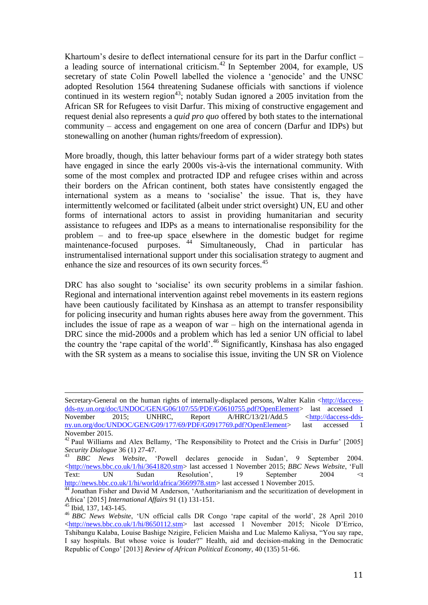Khartoum's desire to deflect international censure for its part in the Darfur conflict  $$ a leading source of international criticism.<sup>42</sup> In September 2004, for example, US secretary of state Colin Powell labelled the violence a 'genocide' and the UNSC adopted Resolution 1564 threatening Sudanese officials with sanctions if violence continued in its western region<sup>43</sup>; notably Sudan ignored a  $2005$  invitation from the African SR for Refugees to visit Darfur. This mixing of constructive engagement and request denial also represents a *quid pro quo* offered by both states to the international community – access and engagement on one area of concern (Darfur and IDPs) but stonewalling on another (human rights/freedom of expression).

More broadly, though, this latter behaviour forms part of a wider strategy both states have engaged in since the early 2000s vis-à-vis the international community. With some of the most complex and protracted IDP and refugee crises within and across their borders on the African continent, both states have consistently engaged the international system as a means to 'socialise' the issue. That is, they have intermittently welcomed or facilitated (albeit under strict oversight) UN, EU and other forms of international actors to assist in providing humanitarian and security assistance to refugees and IDPs as a means to internationalise responsibility for the problem – and to free-up space elsewhere in the domestic budget for regime maintenance-focused purposes. <sup>44</sup> Simultaneously, Chad in particular has instrumentalised international support under this socialisation strategy to augment and enhance the size and resources of its own security forces.<sup>45</sup>

DRC has also sought to 'socialise' its own security problems in a similar fashion. Regional and international intervention against rebel movements in its eastern regions have been cautiously facilitated by Kinshasa as an attempt to transfer responsibility for policing insecurity and human rights abuses here away from the government. This includes the issue of rape as a weapon of war – high on the international agenda in DRC since the mid-2000s and a problem which has led a senior UN official to label the country the 'rape capital of the world'. <sup>46</sup> Significantly, Kinshasa has also engaged with the SR system as a means to socialise this issue, inviting the UN SR on Violence

Secretary-General on the human rights of internally-displaced persons, Walter Kalin [<http://daccess](http://daccess-dds-ny.un.org/doc/UNDOC/GEN/G06/107/55/PDF/G0610755.pdf?OpenElement)[dds-ny.un.org/doc/UNDOC/GEN/G06/107/55/PDF/G0610755.pdf?OpenElement>](http://daccess-dds-ny.un.org/doc/UNDOC/GEN/G06/107/55/PDF/G0610755.pdf?OpenElement) last accessed 1 November 2015; UNHRC, Report  $A/HRC/13/21/Add.5$  [<http://daccess-dds](http://daccess-dds-ny.un.org/doc/UNDOC/GEN/G09/177/69/PDF/G0917769.pdf?OpenElement)[ny.un.org/doc/UNDOC/GEN/G09/177/69/PDF/G0917769.pdf?OpenElement>](http://daccess-dds-ny.un.org/doc/UNDOC/GEN/G09/177/69/PDF/G0917769.pdf?OpenElement) last accessed 1 November 2015.

<sup>&</sup>lt;sup>42</sup> Paul Williams and Alex Bellamy, 'The Responsibility to Protect and the Crisis in Darfur' [2005] *Security Dialogue* 36 (1) 27-47.

<sup>43</sup> *BBC News Website*, 'Powell declares genocide in Sudan', 9 September 2004. [<http://news.bbc.co.uk/1/hi/3641820.stm>](http://news.bbc.co.uk/1/hi/3641820.stm) last accessed 1 November 2015; *BBC News Website*, 'Full Text: UN Sudan Resolution', 19 September 2004 <t [http://news.bbc.co.uk/1/hi/world/africa/3669978.stm>](http://news.bbc.co.uk/1/hi/world/africa/3669978.stm) last accessed 1 November 2015.

<sup>&</sup>lt;sup>44</sup> Jonathan Fisher and David M Anderson, 'Authoritarianism and the securitization of development in Africa' [2015] *International Affairs* 91 (1) 131-151.

<sup>45</sup> Ibid, 137, 143-145.

<sup>46</sup> *BBC News Website*, 'UN official calls DR Congo 'rape capital of the world', 28 April 2010 [<http://news.bbc.co.uk/1/hi/8650112.stm>](http://news.bbc.co.uk/1/hi/8650112.stm) last accessed 1 November 2015; Nicole D'Errico, Tshibangu Kalaba, Louise Bashige Nzigire, Felicien Maisha and Luc Malemo Kaliysa, "You say rape, I say hospitals. But whose voice is louder?" Health, aid and decision-making in the Democratic Republic of Congo' [2013] *Review of African Political Economy*, 40 (135) 51-66.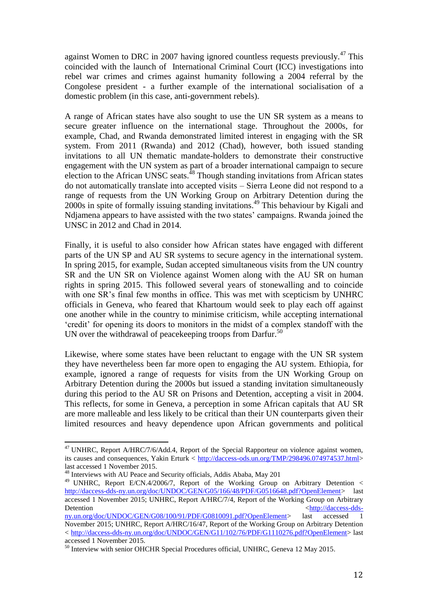against Women to DRC in 2007 having ignored countless requests previously.<sup>47</sup> This coincided with the launch of International Criminal Court (ICC) investigations into rebel war crimes and crimes against humanity following a 2004 referral by the Congolese president - a further example of the international socialisation of a domestic problem (in this case, anti-government rebels).

A range of African states have also sought to use the UN SR system as a means to secure greater influence on the international stage. Throughout the 2000s, for example, Chad, and Rwanda demonstrated limited interest in engaging with the SR system. From 2011 (Rwanda) and 2012 (Chad), however, both issued standing invitations to all UN thematic mandate-holders to demonstrate their constructive engagement with the UN system as part of a broader international campaign to secure election to the African UNSC seats.<sup>48</sup> Though standing invitations from African states do not automatically translate into accepted visits – Sierra Leone did not respond to a range of requests from the UN Working Group on Arbitrary Detention during the 2000s in spite of formally issuing standing invitations. <sup>49</sup> This behaviour by Kigali and Ndjamena appears to have assisted with the two states' campaigns. Rwanda joined the UNSC in 2012 and Chad in 2014.

Finally, it is useful to also consider how African states have engaged with different parts of the UN SP and AU SR systems to secure agency in the international system. In spring 2015, for example, Sudan accepted simultaneous visits from the UN country SR and the UN SR on Violence against Women along with the AU SR on human rights in spring 2015. This followed several years of stonewalling and to coincide with one SR's final few months in office. This was met with scepticism by UNHRC officials in Geneva, who feared that Khartoum would seek to play each off against one another while in the country to minimise criticism, while accepting international 'credit' for opening its doors to monitors in the midst of a complex standoff with the UN over the withdrawal of peacekeeping troops from Darfur.<sup>50</sup>

Likewise, where some states have been reluctant to engage with the UN SR system they have nevertheless been far more open to engaging the AU system. Ethiopia, for example, ignored a range of requests for visits from the UN Working Group on Arbitrary Detention during the 2000s but issued a standing invitation simultaneously during this period to the AU SR on Prisons and Detention, accepting a visit in 2004. This reflects, for some in Geneva, a perception in some African capitals that AU SR are more malleable and less likely to be critical than their UN counterparts given their limited resources and heavy dependence upon African governments and political

 $\overline{a}$ <sup>47</sup> UNHRC, Report A/HRC/7/6/Add.4, Report of the Special Rapporteur on violence against women, its causes and consequences, Yakin Erturk < [http://daccess-ods.un.org/TMP/298496.074974537.html>](http://daccess-ods.un.org/TMP/298496.074974537.html) last accessed 1 November 2015.

<sup>48</sup> Interviews with AU Peace and Security officials, Addis Ababa, May 201

<sup>49</sup> UNHRC, Report E/CN.4/2006/7, Report of the Working Group on Arbitrary Detention < [http://daccess-dds-ny.un.org/doc/UNDOC/GEN/G05/166/48/PDF/G0516648.pdf?OpenElement>](http://daccess-dds-ny.un.org/doc/UNDOC/GEN/G05/166/48/PDF/G0516648.pdf?OpenElement) last accessed 1 November 2015; UNHRC, Report A/HRC/7/4, Report of the Working Group on Arbitrary Detention  $\langle \frac{h}{dt} \rangle$  /daccess-dds[ny.un.org/doc/UNDOC/GEN/G08/100/91/PDF/G0810091.pdf?OpenElement>](http://daccess-dds-ny.un.org/doc/UNDOC/GEN/G08/100/91/PDF/G0810091.pdf?OpenElement) last accessed 1 November 2015; UNHRC, Report A/HRC/16/47, Report of the Working Group on Arbitrary Detention < [http://daccess-dds-ny.un.org/doc/UNDOC/GEN/G11/102/76/PDF/G1110276.pdf?OpenElement>](http://daccess-dds-ny.un.org/doc/UNDOC/GEN/G11/102/76/PDF/G1110276.pdf?OpenElement) last accessed 1 November 2015.

<sup>&</sup>lt;sup>50</sup> Interview with senior OHCHR Special Procedures official, UNHRC, Geneva 12 May 2015.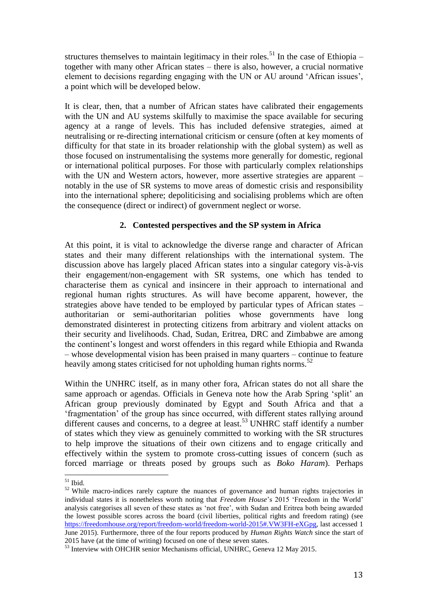structures themselves to maintain legitimacy in their roles.<sup>51</sup> In the case of Ethiopia – together with many other African states – there is also, however, a crucial normative element to decisions regarding engaging with the UN or AU around 'African issues', a point which will be developed below.

It is clear, then, that a number of African states have calibrated their engagements with the UN and AU systems skilfully to maximise the space available for securing agency at a range of levels. This has included defensive strategies, aimed at neutralising or re-directing international criticism or censure (often at key moments of difficulty for that state in its broader relationship with the global system) as well as those focused on instrumentalising the systems more generally for domestic, regional or international political purposes. For those with particularly complex relationships with the UN and Western actors, however, more assertive strategies are apparent – notably in the use of SR systems to move areas of domestic crisis and responsibility into the international sphere; depoliticising and socialising problems which are often the consequence (direct or indirect) of government neglect or worse.

# **2. Contested perspectives and the SP system in Africa**

At this point, it is vital to acknowledge the diverse range and character of African states and their many different relationships with the international system. The discussion above has largely placed African states into a singular category vis-à-vis their engagement/non-engagement with SR systems, one which has tended to characterise them as cynical and insincere in their approach to international and regional human rights structures. As will have become apparent, however, the strategies above have tended to be employed by particular types of African states – authoritarian or semi-authoritarian polities whose governments have long demonstrated disinterest in protecting citizens from arbitrary and violent attacks on their security and livelihoods. Chad, Sudan, Eritrea, DRC and Zimbabwe are among the continent's longest and worst offenders in this regard while Ethiopia and Rwanda – whose developmental vision has been praised in many quarters – continue to feature heavily among states criticised for not upholding human rights norms.<sup>52</sup>

Within the UNHRC itself, as in many other fora, African states do not all share the same approach or agendas. Officials in Geneva note how the Arab Spring 'split' an African group previously dominated by Egypt and South Africa and that a 'fragmentation' of the group has since occurred, with different states rallying around different causes and concerns, to a degree at least.<sup>53</sup> UNHRC staff identify a number of states which they view as genuinely committed to working with the SR structures to help improve the situations of their own citizens and to engage critically and effectively within the system to promote cross-cutting issues of concern (such as forced marriage or threats posed by groups such as *Boko Haram*). Perhaps

 $\overline{a}$  $51$  Ibid.

<sup>&</sup>lt;sup>52</sup> While macro-indices rarely capture the nuances of governance and human rights trajectories in individual states it is nonetheless worth noting that *Freedom House*'s 2015 'Freedom in the World' analysis categorises all seven of these states as 'not free', with Sudan and Eritrea both being awarded the lowest possible scores across the board (civil liberties, political rights and freedom rating) (see [https://freedomhouse.org/report/freedom-world/freedom-world-2015#.VW3FH-eXGpg,](https://freedomhouse.org/report/freedom-world/freedom-world-2015#.VW3FH-eXGpg) last accessed 1 June 2015). Furthermore, three of the four reports produced by *Human Rights Watch* since the start of 2015 have (at the time of writing) focused on one of these seven states.

<sup>&</sup>lt;sup>53</sup> Interview with OHCHR senior Mechanisms official, UNHRC, Geneva 12 May 2015.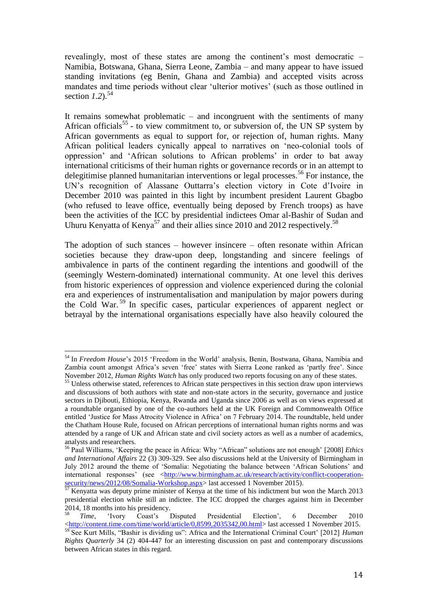revealingly, most of these states are among the continent's most democratic – Namibia, Botswana, Ghana, Sierra Leone, Zambia – and many appear to have issued standing invitations (eg Benin, Ghana and Zambia) and accepted visits across mandates and time periods without clear 'ulterior motives' (such as those outlined in section  $1.2$ ).<sup>54</sup>

It remains somewhat problematic – and incongruent with the sentiments of many African officials<sup>55</sup> - to view commitment to, or subversion of, the UN SP system by African governments as equal to support for, or rejection of, human rights. Many African political leaders cynically appeal to narratives on 'neo-colonial tools of oppression' and 'African solutions to African problems' in order to bat away international criticisms of their human rights or governance records or in an attempt to delegitimise planned humanitarian interventions or legal processes.<sup>56</sup> For instance, the UN's recognition of Alassane Outtarra's election victory in Cote d'Ivoire in December 2010 was painted in this light by incumbent president Laurent Gbagbo (who refused to leave office, eventually being deposed by French troops) as have been the activities of the ICC by presidential indictees Omar al-Bashir of Sudan and Uhuru Kenyatta of Kenya<sup>57</sup> and their allies since 2010 and 2012 respectively.<sup>58</sup>

The adoption of such stances – however insincere – often resonate within African societies because they draw-upon deep, longstanding and sincere feelings of ambivalence in parts of the continent regarding the intentions and goodwill of the (seemingly Western-dominated) international community. At one level this derives from historic experiences of oppression and violence experienced during the colonial era and experiences of instrumentalisation and manipulation by major powers during the Cold War. <sup>59</sup> In specific cases, particular experiences of apparent neglect or betrayal by the international organisations especially have also heavily coloured the

 $\overline{a}$ <sup>54</sup> In *Freedom House*'s 2015 'Freedom in the World' analysis, Benin, Bostwana, Ghana, Namibia and Zambia count amongst Africa's seven 'free' states with Sierra Leone ranked as 'partly free'. Since November 2012, *Human Rights Watch* has only produced two reports focusing on any of these states.

<sup>&</sup>lt;sup>55</sup> Unless otherwise stated, references to African state perspectives in this section draw upon interviews and discussions of both authors with state and non-state actors in the security, governance and justice sectors in Djibouti, Ethiopia, Kenya, Rwanda and Uganda since 2006 as well as on views expressed at a roundtable organised by one of the co-authors held at the UK Foreign and Commonwealth Office entitled 'Justice for Mass Atrocity Violence in Africa' on 7 February 2014. The roundtable, held under the Chatham House Rule, focused on African perceptions of international human rights norms and was attended by a range of UK and African state and civil society actors as well as a number of academics, analysts and researchers.

<sup>56</sup> Paul Williams, 'Keeping the peace in Africa: Why "African" solutions are not enough' [2008] *Ethics and International Affairs* 22 (3) 309-329. See also discussions held at the University of Birmingham in July 2012 around the theme of 'Somalia: Negotiating the balance between 'African Solutions' and international responses' (see [<http://www.birmingham.ac.uk/research/activity/conflict-cooperation](http://www.birmingham.ac.uk/research/activity/conflict-cooperation-security/news/2012/08/Somalia-Workshop.aspx)[security/news/2012/08/Somalia-Workshop.aspx>](http://www.birmingham.ac.uk/research/activity/conflict-cooperation-security/news/2012/08/Somalia-Workshop.aspx) last accessed 1 November 2015).

 $57$  Kenyatta was deputy prime minister of Kenya at the time of his indictment but won the March 2013 presidential election while still an indictee. The ICC dropped the charges against him in December 2014, 18 months into his presidency.

<sup>58</sup> *Time*, 'Ivory Coast's Disputed Presidential Election', 6 December 2010 [<http://content.time.com/time/world/article/0,8599,2035342,00.html>](http://content.time.com/time/world/article/0,8599,2035342,00.html) last accessed 1 November 2015. <sup>59</sup> See Kurt Mills, "Bashir is dividing us": Africa and the International Criminal Court' [2012] *Human* 

*Rights Quarterly* 34 (2) 404-447 for an interesting discussion on past and contemporary discussions between African states in this regard.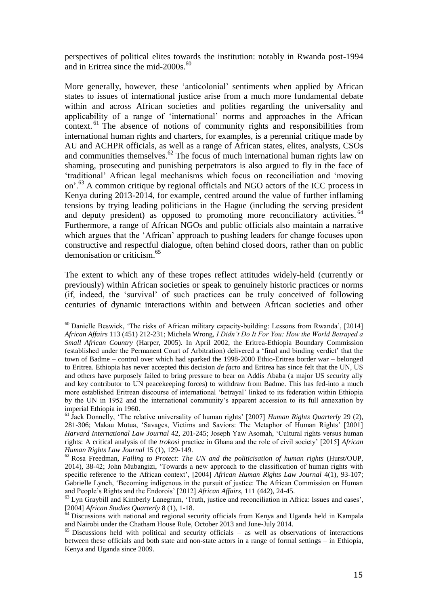perspectives of political elites towards the institution: notably in Rwanda post-1994 and in Eritrea since the mid-2000s. 60

More generally, however, these 'anticolonial' sentiments when applied by African states to issues of international justice arise from a much more fundamental debate within and across African societies and polities regarding the universality and applicability of a range of 'international' norms and approaches in the African context. <sup>61</sup> The absence of notions of community rights and responsibilities from international human rights and charters, for examples, is a perennial critique made by AU and ACHPR officials, as well as a range of African states, elites, analysts, CSOs and communities themselves. $62$  The focus of much international human rights law on shaming, prosecuting and punishing perpetrators is also argued to fly in the face of 'traditional' African legal mechanisms which focus on reconciliation and 'moving on'.<sup>63</sup> A common critique by regional officials and NGO actors of the ICC process in Kenya during 2013-2014, for example, centred around the value of further inflaming tensions by trying leading politicians in the Hague (including the serving president and deputy president) as opposed to promoting more reconciliatory activities. <sup>64</sup> Furthermore, a range of African NGOs and public officials also maintain a narrative which argues that the 'African' approach to pushing leaders for change focuses upon constructive and respectful dialogue, often behind closed doors, rather than on public demonisation or criticism.<sup>65</sup>

The extent to which any of these tropes reflect attitudes widely-held (currently or previously) within African societies or speak to genuinely historic practices or norms (if, indeed, the 'survival' of such practices can be truly conceived of following centuries of dynamic interactions within and between African societies and other

<sup>&</sup>lt;sup>60</sup> Danielle Beswick, 'The risks of African military capacity-building: Lessons from Rwanda', [2014] *African Affairs* 113 (451) 212-231; Michela Wrong, *I Didn't Do It For You: How the World Betrayed a Small African Country* (Harper, 2005). In April 2002, the Eritrea-Ethiopia Boundary Commission (established under the Permanent Court of Arbitration) delivered a 'final and binding verdict' that the town of Badme – control over which had sparked the 1998-2000 Ethio-Eritrea border war – belonged to Eritrea. Ethiopia has never accepted this decision *de facto* and Eritrea has since felt that the UN, US and others have purposely failed to bring pressure to bear on Addis Ababa (a major US security ally and key contributor to UN peacekeeping forces) to withdraw from Badme. This has fed-into a much more established Eritrean discourse of international 'betrayal' linked to its federation within Ethiopia by the UN in 1952 and the international community's apparent accession to its full annexation by imperial Ethiopia in 1960.

<sup>61</sup> Jack Donnelly, 'The relative universality of human rights' [2007] *Human Rights Quarterly* 29 (2), 281-306; Makau Mutua, 'Savages, Victims and Saviors: The Metaphor of Human Rights' [2001] *Harvard International Law Journal* 42, 201-245; Joseph Yaw Asomah, 'Cultural rights versus human rights: A critical analysis of the *trokosi* practice in Ghana and the role of civil society' [2015] *African Human Rights Law Journal* 15 (1), 129-149.

<sup>62</sup> Rosa Freedman, *Failing to Protect: The UN and the politicisation of human rights* (Hurst/OUP, 2014), 38-42; John Mubangizi, 'Towards a new approach to the classification of human rights with specific reference to the African context', [2004] *African Human Rights Law Journal* 4(1), 93-107; Gabrielle Lynch, 'Becoming indigenous in the pursuit of justice: The African Commission on Human and People's Rights and the Endorois' [2012] *African Affairs*, 111 (442), 24-45.

<sup>&</sup>lt;sup>63</sup> Lyn Graybill and Kimberly Lanegram, 'Truth, justice and reconciliation in Africa: Issues and cases', [2004] *African Studies Quarterly* 8 (1), 1-18.

<sup>&</sup>lt;sup>64</sup> Discussions with national and regional security officials from Kenya and Uganda held in Kampala and Nairobi under the Chatham House Rule, October 2013 and June-July 2014.

<sup>&</sup>lt;sup>65</sup> Discussions held with political and security officials – as well as observations of interactions between these officials and both state and non-state actors in a range of formal settings – in Ethiopia, Kenya and Uganda since 2009.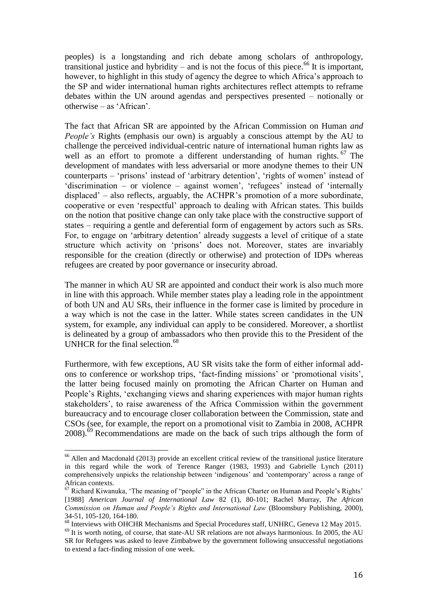peoples) is a longstanding and rich debate among scholars of anthropology, transitional justice and hybridity – and is not the focus of this piece.<sup>66</sup> It is important, however, to highlight in this study of agency the degree to which Africa's approach to the SP and wider international human rights architectures reflect attempts to reframe debates within the UN around agendas and perspectives presented – notionally or otherwise – as 'African'.

The fact that African SR are appointed by the African Commission on Human *and People's* Rights (emphasis our own) is arguably a conscious attempt by the AU to challenge the perceived individual-centric nature of international human rights law as well as an effort to promote a different understanding of human rights.  $67$  The development of mandates with less adversarial or more anodyne themes to their UN counterparts – 'prisons' instead of 'arbitrary detention', 'rights of women' instead of 'discrimination – or violence – against women', 'refugees' instead of 'internally displaced' – also reflects, arguably, the ACHPR's promotion of a more subordinate, cooperative or even 'respectful' approach to dealing with African states. This builds on the notion that positive change can only take place with the constructive support of states – requiring a gentle and deferential form of engagement by actors such as SRs. For, to engage on 'arbitrary detention' already suggests a level of critique of a state structure which activity on 'prisons' does not. Moreover, states are invariably responsible for the creation (directly or otherwise) and protection of IDPs whereas refugees are created by poor governance or insecurity abroad.

The manner in which AU SR are appointed and conduct their work is also much more in line with this approach. While member states play a leading role in the appointment of both UN and AU SRs, their influence in the former case is limited by procedure in a way which is not the case in the latter. While states screen candidates in the UN system, for example, any individual can apply to be considered. Moreover, a shortlist is delineated by a group of ambassadors who then provide this to the President of the UNHCR for the final selection. $68$ 

Furthermore, with few exceptions, AU SR visits take the form of either informal addons to conference or workshop trips, 'fact-finding missions' or 'promotional visits', the latter being focused mainly on promoting the African Charter on Human and People's Rights, 'exchanging views and sharing experiences with major human rights stakeholders', to raise awareness of the Africa Commission within the government bureaucracy and to encourage closer collaboration between the Commission, state and CSOs (see, for example, the report on a promotional visit to Zambia in 2008, ACHPR  $2008$ ).<sup>69</sup> Recommendations are made on the back of such trips although the form of

 $66$  Allen and Macdonald (2013) provide an excellent critical review of the transitional justice literature in this regard while the work of Terence Ranger (1983, 1993) and Gabrielle Lynch (2011) comprehensively unpicks the relationship between 'indigenous' and 'contemporary' across a range of African contexts.

<sup>67</sup> Richard Kiwanuka, 'The meaning of "people" in the African Charter on Human and People's Rights' [1988] *American Journal of International Law* 82 (1), 80-101; Rachel Murray, *The African Commission on Human and People's Rights and International Law* (Bloomsbury Publishing, 2000), 34-51, 105-120, 164-180.

<sup>&</sup>lt;sup>68</sup> Interviews with OHCHR Mechanisms and Special Procedures staff, UNHRC, Geneva 12 May 2015.

 $69$  It is worth noting, of course, that state-AU SR relations are not always harmonious. In 2005, the AU SR for Refugees was asked to leave Zimbabwe by the government following unsuccessful negotiations to extend a fact-finding mission of one week.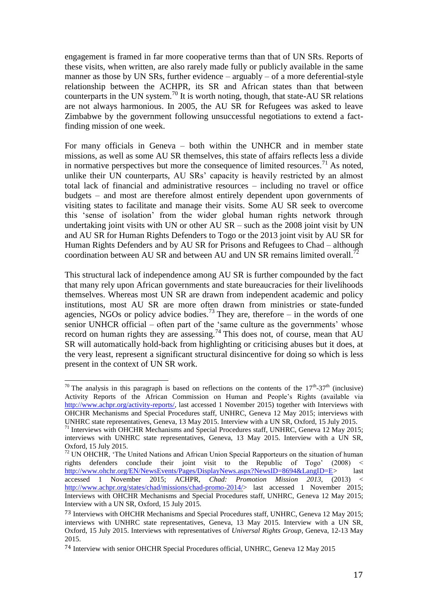engagement is framed in far more cooperative terms than that of UN SRs. Reports of these visits, when written, are also rarely made fully or publicly available in the same manner as those by UN SRs, further evidence – arguably – of a more deferential-style relationship between the ACHPR, its SR and African states than that between counterparts in the UN system.<sup>70</sup> It is worth noting, though, that state-AU SR relations are not always harmonious. In 2005, the AU SR for Refugees was asked to leave Zimbabwe by the government following unsuccessful negotiations to extend a factfinding mission of one week.

For many officials in Geneva – both within the UNHCR and in member state missions, as well as some AU SR themselves, this state of affairs reflects less a divide in normative perspectives but more the consequence of limited resources.<sup>71</sup> As noted, unlike their UN counterparts, AU SRs' capacity is heavily restricted by an almost total lack of financial and administrative resources – including no travel or office budgets – and most are therefore almost entirely dependent upon governments of visiting states to facilitate and manage their visits. Some AU SR seek to overcome this 'sense of isolation' from the wider global human rights network through undertaking joint visits with UN or other AU  $SR$  – such as the 2008 joint visit by UN and AU SR for Human Rights Defenders to Togo or the 2013 joint visit by AU SR for Human Rights Defenders and by AU SR for Prisons and Refugees to Chad – although coordination between AU SR and between AU and UN SR remains limited overall.<sup>72</sup>

This structural lack of independence among AU SR is further compounded by the fact that many rely upon African governments and state bureaucracies for their livelihoods themselves. Whereas most UN SR are drawn from independent academic and policy institutions, most AU SR are more often drawn from ministries or state-funded agencies, NGOs or policy advice bodies.<sup>73</sup> They are, therefore – in the words of one senior UNHCR official – often part of the 'same culture as the governments' whose record on human rights they are assessing.<sup>74</sup> This does not, of course, mean that AU SR will automatically hold-back from highlighting or criticising abuses but it does, at the very least, represent a significant structural disincentive for doing so which is less present in the context of UN SR work.

 $\overline{a}$ <sup>70</sup> The analysis in this paragraph is based on reflections on the contents of the  $17<sup>th</sup>$ -37<sup>th</sup> (inclusive) Activity Reports of the African Commission on Human and People's Rights (available via [http://www.achpr.org/activity-reports/,](http://www.achpr.org/activity-reports/) last accessed 1 November 2015) together with Interviews with OHCHR Mechanisms and Special Procedures staff, UNHRC, Geneva 12 May 2015; interviews with UNHRC state representatives, Geneva, 13 May 2015. Interview with a UN SR, Oxford, 15 July 2015.

 $71$  Interviews with OHCHR Mechanisms and Special Procedures staff, UNHRC, Geneva 12 May 2015; interviews with UNHRC state representatives, Geneva, 13 May 2015. Interview with a UN SR, Oxford, 15 July 2015.

 $72$  UN OHCHR, 'The United Nations and African Union Special Rapporteurs on the situation of human rights defenders conclude their joint visit to the Republic of Togo' (2008) < [http://www.ohchr.org/EN/NewsEvents/Pages/DisplayNews.aspx?NewsID=8694&LangID=E>](http://www.ohchr.org/EN/NewsEvents/Pages/DisplayNews.aspx?NewsID=8694&LangID=E) last accessed 1 November 2015; ACHPR, *Chad: Promotion Mission 2013*, (2013) < [http://www.achpr.org/states/chad/missions/chad-promo-2014/>](http://www.achpr.org/states/chad/missions/chad-promo-2014/) last accessed 1 November 2015; Interviews with OHCHR Mechanisms and Special Procedures staff, UNHRC, Geneva 12 May 2015; Interview with a UN SR, Oxford, 15 July 2015.

<sup>73</sup> Interviews with OHCHR Mechanisms and Special Procedures staff, UNHRC, Geneva 12 May 2015; interviews with UNHRC state representatives, Geneva, 13 May 2015. Interview with a UN SR, Oxford, 15 July 2015. Interviews with representatives of *Universal Rights Group*, Geneva, 12-13 May 2015.

<sup>74</sup> Interview with senior OHCHR Special Procedures official, UNHRC, Geneva 12 May 2015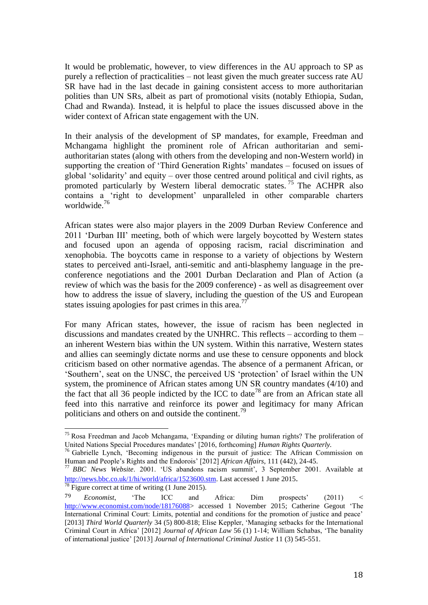It would be problematic, however, to view differences in the AU approach to SP as purely a reflection of practicalities – not least given the much greater success rate AU SR have had in the last decade in gaining consistent access to more authoritarian polities than UN SRs, albeit as part of promotional visits (notably Ethiopia, Sudan, Chad and Rwanda). Instead, it is helpful to place the issues discussed above in the wider context of African state engagement with the UN.

In their analysis of the development of SP mandates, for example, Freedman and Mchangama highlight the prominent role of African authoritarian and semiauthoritarian states (along with others from the developing and non-Western world) in supporting the creation of 'Third Generation Rights' mandates – focused on issues of global 'solidarity' and equity – over those centred around political and civil rights, as promoted particularly by Western liberal democratic states. <sup>75</sup> The ACHPR also contains a 'right to development' unparalleled in other comparable charters worldwide.<sup>76</sup>

African states were also major players in the 2009 Durban Review Conference and 2011 'Durban III' meeting, both of which were largely boycotted by Western states and focused upon an agenda of opposing racism, racial discrimination and xenophobia. The boycotts came in response to a variety of objections by Western states to perceived anti-Israel, anti-semitic and anti-blasphemy language in the preconference negotiations and the 2001 Durban Declaration and Plan of Action (a review of which was the basis for the 2009 conference) - as well as disagreement over how to address the issue of slavery, including the question of the US and European states issuing apologies for past crimes in this area.<sup>77</sup>

For many African states, however, the issue of racism has been neglected in discussions and mandates created by the UNHRC. This reflects – according to them – an inherent Western bias within the UN system. Within this narrative, Western states and allies can seemingly dictate norms and use these to censure opponents and block criticism based on other normative agendas. The absence of a permanent African, or 'Southern', seat on the UNSC, the perceived US 'protection' of Israel within the UN system, the prominence of African states among UN SR country mandates (4/10) and the fact that all 36 people indicted by the ICC to date<sup>78</sup> are from an African state all feed into this narrative and reinforce its power and legitimacy for many African politicians and others on and outside the continent.<sup>79</sup>

 $\frac{78}{78}$  Figure correct at time of writing (1 June 2015).

 $\overline{a}$ <sup>75</sup> Rosa Freedman and Jacob Mchangama, 'Expanding or diluting human rights? The proliferation of United Nations Special Procedures mandates' [2016, forthcoming] *Human Rights Quarterly.*

<sup>&</sup>lt;sup>76</sup> Gabrielle Lynch, 'Becoming indigenous in the pursuit of justice: The African Commission on Human and People's Rights and the Endorois' [2012] *African Affairs*, 111 (442), 24-45.

<sup>77</sup> *BBC News Website*. 2001. 'US abandons racism summit', 3 September 2001. Available at [http://news.bbc.co.uk/1/hi/world/africa/1523600.stm.](http://news.bbc.co.uk/1/hi/world/africa/1523600.stm) Last accessed 1 June 2015.

<sup>79</sup> *Economist*, 'The ICC and Africa: Dim prospects' (2011) < [http://www.economist.com/node/18176088>](http://www.economist.com/node/18176088) accessed 1 November 2015; Catherine Gegout 'The International Criminal Court: Limits, potential and conditions for the promotion of justice and peace' [2013] *Third World Quarterly* 34 (5) 800-818; Elise Keppler, 'Managing setbacks for the International Criminal Court in Africa' [2012] *Journal of African Law* 56 (1) 1-14; William Schabas, 'The banality of international justice' [2013] *Journal of International Criminal Justice* 11 (3) 545-551.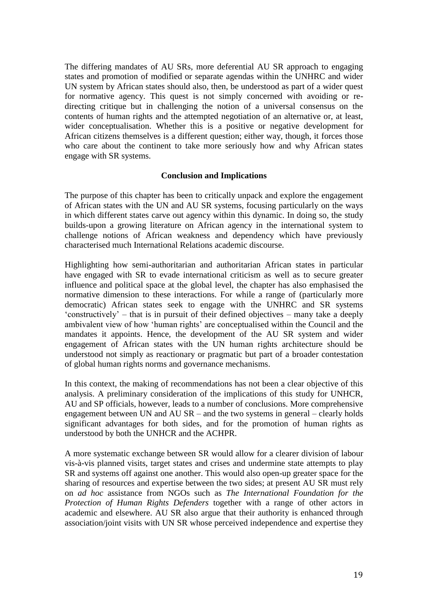The differing mandates of AU SRs, more deferential AU SR approach to engaging states and promotion of modified or separate agendas within the UNHRC and wider UN system by African states should also, then, be understood as part of a wider quest for normative agency. This quest is not simply concerned with avoiding or redirecting critique but in challenging the notion of a universal consensus on the contents of human rights and the attempted negotiation of an alternative or, at least, wider conceptualisation. Whether this is a positive or negative development for African citizens themselves is a different question; either way, though, it forces those who care about the continent to take more seriously how and why African states engage with SR systems.

### **Conclusion and Implications**

The purpose of this chapter has been to critically unpack and explore the engagement of African states with the UN and AU SR systems, focusing particularly on the ways in which different states carve out agency within this dynamic. In doing so, the study builds-upon a growing literature on African agency in the international system to challenge notions of African weakness and dependency which have previously characterised much International Relations academic discourse.

Highlighting how semi-authoritarian and authoritarian African states in particular have engaged with SR to evade international criticism as well as to secure greater influence and political space at the global level, the chapter has also emphasised the normative dimension to these interactions. For while a range of (particularly more democratic) African states seek to engage with the UNHRC and SR systems 'constructively' – that is in pursuit of their defined objectives – many take a deeply ambivalent view of how 'human rights' are conceptualised within the Council and the mandates it appoints. Hence, the development of the AU SR system and wider engagement of African states with the UN human rights architecture should be understood not simply as reactionary or pragmatic but part of a broader contestation of global human rights norms and governance mechanisms.

In this context, the making of recommendations has not been a clear objective of this analysis. A preliminary consideration of the implications of this study for UNHCR, AU and SP officials, however, leads to a number of conclusions. More comprehensive engagement between UN and AU SR – and the two systems in general – clearly holds significant advantages for both sides, and for the promotion of human rights as understood by both the UNHCR and the ACHPR.

A more systematic exchange between SR would allow for a clearer division of labour vis-à-vis planned visits, target states and crises and undermine state attempts to play SR and systems off against one another. This would also open-up greater space for the sharing of resources and expertise between the two sides; at present AU SR must rely on *ad hoc* assistance from NGOs such as *The International Foundation for the Protection of Human Rights Defenders* together with a range of other actors in academic and elsewhere. AU SR also argue that their authority is enhanced through association/joint visits with UN SR whose perceived independence and expertise they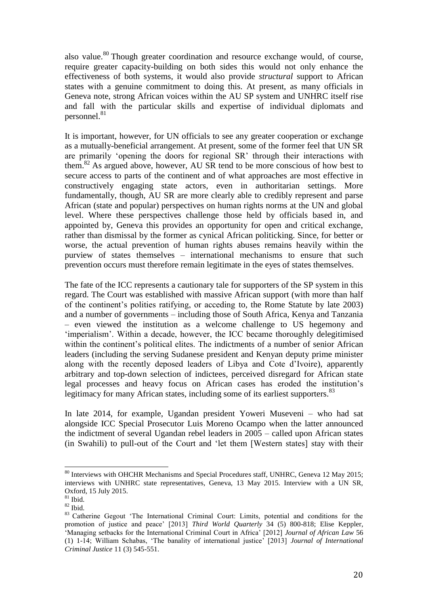also value.<sup>80</sup> Though greater coordination and resource exchange would, of course, require greater capacity-building on both sides this would not only enhance the effectiveness of both systems, it would also provide *structural* support to African states with a genuine commitment to doing this. At present, as many officials in Geneva note, strong African voices within the AU SP system and UNHRC itself rise and fall with the particular skills and expertise of individual diplomats and personnel.<sup>81</sup>

It is important, however, for UN officials to see any greater cooperation or exchange as a mutually-beneficial arrangement. At present, some of the former feel that UN SR are primarily 'opening the doors for regional SR' through their interactions with them.<sup>82</sup> As argued above, however, AU SR tend to be more conscious of how best to secure access to parts of the continent and of what approaches are most effective in constructively engaging state actors, even in authoritarian settings. More fundamentally, though, AU SR are more clearly able to credibly represent and parse African (state and popular) perspectives on human rights norms at the UN and global level. Where these perspectives challenge those held by officials based in, and appointed by, Geneva this provides an opportunity for open and critical exchange, rather than dismissal by the former as cynical African politicking. Since, for better or worse, the actual prevention of human rights abuses remains heavily within the purview of states themselves – international mechanisms to ensure that such prevention occurs must therefore remain legitimate in the eyes of states themselves.

The fate of the ICC represents a cautionary tale for supporters of the SP system in this regard. The Court was established with massive African support (with more than half of the continent's polities ratifying, or acceding to, the Rome Statute by late 2003) and a number of governments – including those of South Africa, Kenya and Tanzania – even viewed the institution as a welcome challenge to US hegemony and 'imperialism'. Within a decade, however, the ICC became thoroughly delegitimised within the continent's political elites. The indictments of a number of senior African leaders (including the serving Sudanese president and Kenyan deputy prime minister along with the recently deposed leaders of Libya and Cote d'Ivoire), apparently arbitrary and top-down selection of indictees, perceived disregard for African state legal processes and heavy focus on African cases has eroded the institution's legitimacy for many African states, including some of its earliest supporters.<sup>83</sup>

In late 2014, for example, Ugandan president Yoweri Museveni – who had sat alongside ICC Special Prosecutor Luis Moreno Ocampo when the latter announced the indictment of several Ugandan rebel leaders in 2005 – called upon African states (in Swahili) to pull-out of the Court and 'let them [Western states] stay with their

<sup>&</sup>lt;sup>80</sup> Interviews with OHCHR Mechanisms and Special Procedures staff, UNHRC, Geneva 12 May 2015; interviews with UNHRC state representatives, Geneva, 13 May 2015. Interview with a UN SR, Oxford, 15 July 2015.

 $81$  Ibid.

 $82$  Ibid.

<sup>83</sup> Catherine Gegout 'The International Criminal Court: Limits, potential and conditions for the promotion of justice and peace' [2013] *Third World Quarterly* 34 (5) 800-818; Elise Keppler, 'Managing setbacks for the International Criminal Court in Africa' [2012] *Journal of African Law* 56 (1) 1-14; William Schabas, 'The banality of international justice' [2013] *Journal of International Criminal Justice* 11 (3) 545-551.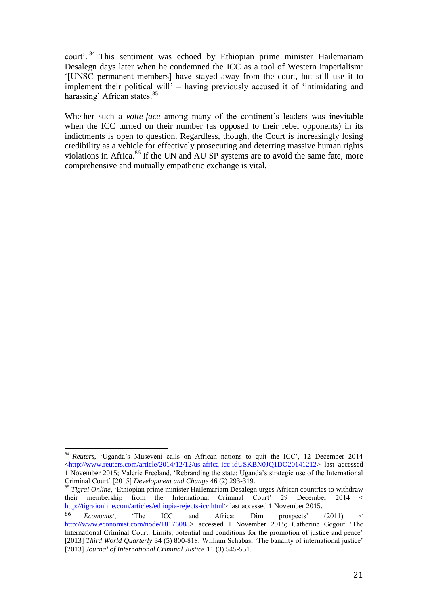court'. <sup>84</sup> This sentiment was echoed by Ethiopian prime minister Hailemariam Desalegn days later when he condemned the ICC as a tool of Western imperialism: '[UNSC permanent members] have stayed away from the court, but still use it to implement their political will' – having previously accused it of 'intimidating and harassing' African states.<sup>85</sup>

Whether such a *volte-face* among many of the continent's leaders was inevitable when the ICC turned on their number (as opposed to their rebel opponents) in its indictments is open to question. Regardless, though, the Court is increasingly losing credibility as a vehicle for effectively prosecuting and deterring massive human rights violations in Africa.<sup>86</sup> If the UN and AU SP systems are to avoid the same fate, more comprehensive and mutually empathetic exchange is vital.

 $\overline{a}$ <sup>84</sup> *Reuters*, 'Uganda's Museveni calls on African nations to quit the ICC', 12 December 2014 [<http://www.reuters.com/article/2014/12/12/us-africa-icc-idUSKBN0JQ1DO20141212>](http://www.reuters.com/article/2014/12/12/us-africa-icc-idUSKBN0JQ1DO20141212) last accessed 1 November 2015; Valerie Freeland, 'Rebranding the state: Uganda's strategic use of the International Criminal Court' [2015] *Development and Change* 46 (2) 293-319.

<sup>85</sup> *Tigrai Online*, 'Ethiopian prime minister Hailemariam Desalegn urges African countries to withdraw their membership from the International Criminal Court' 29 December 2014 < [http://tigraionline.com/articles/ethiopia-rejects-icc.html>](http://tigraionline.com/articles/ethiopia-rejects-icc.html) last accessed 1 November 2015.

<sup>86</sup> *Economist*, 'The ICC and Africa: Dim prospects' (2011) < [http://www.economist.com/node/18176088>](http://www.economist.com/node/18176088) accessed 1 November 2015; Catherine Gegout 'The International Criminal Court: Limits, potential and conditions for the promotion of justice and peace' [2013] *Third World Quarterly* 34 (5) 800-818; William Schabas, 'The banality of international justice' [2013] *Journal of International Criminal Justice* 11 (3) 545-551.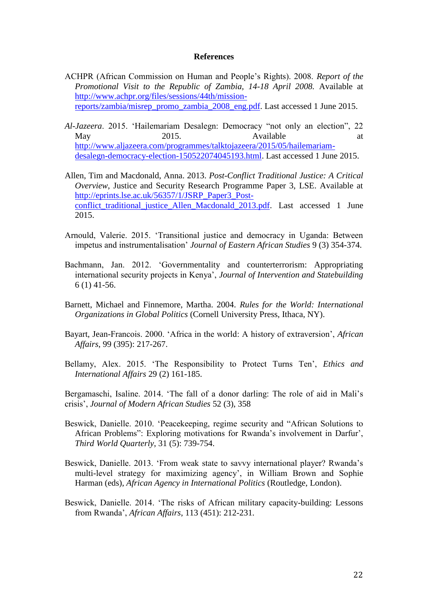#### **References**

- ACHPR (African Commission on Human and People's Rights). 2008. *Report of the Promotional Visit to the Republic of Zambia, 14-18 April 2008.* Available at [http://www.achpr.org/files/sessions/44th/mission](http://www.achpr.org/files/sessions/44th/mission-reports/zambia/misrep_promo_zambia_2008_eng.pdf)[reports/zambia/misrep\\_promo\\_zambia\\_2008\\_eng.pdf.](http://www.achpr.org/files/sessions/44th/mission-reports/zambia/misrep_promo_zambia_2008_eng.pdf) Last accessed 1 June 2015.
- *Al-Jazeera*. 2015. 'Hailemariam Desalegn: Democracy "not only an election", 22 May 2015. Available at [http://www.aljazeera.com/programmes/talktojazeera/2015/05/hailemariam](http://www.aljazeera.com/programmes/talktojazeera/2015/05/hailemariam-desalegn-democracy-election-150522074045193.html)[desalegn-democracy-election-150522074045193.html.](http://www.aljazeera.com/programmes/talktojazeera/2015/05/hailemariam-desalegn-democracy-election-150522074045193.html) Last accessed 1 June 2015.
- Allen, Tim and Macdonald, Anna. 2013. *Post-Conflict Traditional Justice: A Critical Overview*, Justice and Security Research Programme Paper 3, LSE. Available at [http://eprints.lse.ac.uk/56357/1/JSRP\\_Paper3\\_Post](http://eprints.lse.ac.uk/56357/1/JSRP_Paper3_Post-conflict_traditional_justice_Allen_Macdonald_2013.pdf)[conflict\\_traditional\\_justice\\_Allen\\_Macdonald\\_2013.pdf.](http://eprints.lse.ac.uk/56357/1/JSRP_Paper3_Post-conflict_traditional_justice_Allen_Macdonald_2013.pdf) Last accessed 1 June 2015.
- Arnould, Valerie. 2015. 'Transitional justice and democracy in Uganda: Between impetus and instrumentalisation' *Journal of Eastern African Studies* 9 (3) 354-374.
- Bachmann, Jan. 2012. 'Governmentality and counterterrorism: Appropriating international security projects in Kenya', *Journal of Intervention and Statebuilding*  6 (1) 41-56.
- Barnett, Michael and Finnemore, Martha. 2004. *Rules for the World: International Organizations in Global Politics* (Cornell University Press, Ithaca, NY).
- Bayart, Jean-Francois. 2000. 'Africa in the world: A history of extraversion', *African Affairs*, 99 (395): 217-267.
- Bellamy, Alex. 2015. 'The Responsibility to Protect Turns Ten', *Ethics and International Affairs* 29 (2) 161-185.

Bergamaschi, Isaline. 2014. 'The fall of a donor darling: The role of aid in Mali's crisis', *Journal of Modern African Studies* 52 (3), 358

- Beswick, Danielle. 2010. 'Peacekeeping, regime security and "African Solutions to African Problems": Exploring motivations for Rwanda's involvement in Darfur', *Third World Quarterly*, 31 (5): 739-754.
- Beswick, Danielle. 2013. 'From weak state to savvy international player? Rwanda's multi-level strategy for maximizing agency', in William Brown and Sophie Harman (eds), *African Agency in International Politics* (Routledge, London).
- Beswick, Danielle. 2014. 'The risks of African military capacity-building: Lessons from Rwanda', *African Affairs*, 113 (451): 212-231.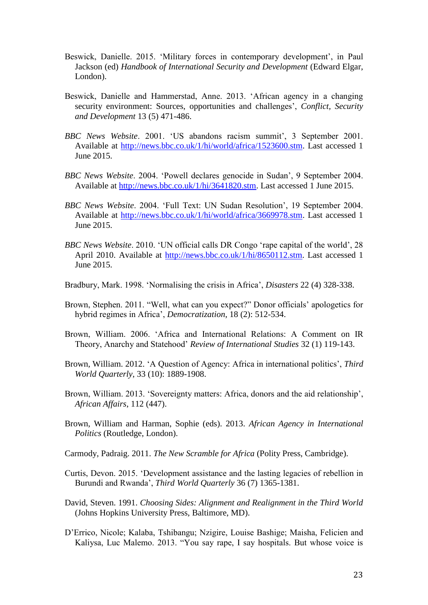- Beswick, Danielle. 2015. 'Military forces in contemporary development', in Paul Jackson (ed) *Handbook of International Security and Development* (Edward Elgar, London).
- Beswick, Danielle and Hammerstad, Anne. 2013. 'African agency in a changing security environment: Sources, opportunities and challenges', *Conflict, Security and Development* 13 (5) 471-486.
- *BBC News Website*. 2001. 'US abandons racism summit', 3 September 2001. Available at [http://news.bbc.co.uk/1/hi/world/africa/1523600.stm.](http://news.bbc.co.uk/1/hi/world/africa/1523600.stm) Last accessed 1 June 2015.
- *BBC News Website*. 2004. 'Powell declares genocide in Sudan', 9 September 2004. Available at [http://news.bbc.co.uk/1/hi/3641820.stm.](http://news.bbc.co.uk/1/hi/3641820.stm) Last accessed 1 June 2015.
- *BBC News Website*. 2004. 'Full Text: UN Sudan Resolution', 19 September 2004. Available at [http://news.bbc.co.uk/1/hi/world/africa/3669978.stm.](http://news.bbc.co.uk/1/hi/world/africa/3669978.stm) Last accessed 1 June 2015.
- *BBC News Website*. 2010. 'UN official calls DR Congo 'rape capital of the world', 28 April 2010. Available at [http://news.bbc.co.uk/1/hi/8650112.stm.](http://news.bbc.co.uk/1/hi/8650112.stm) Last accessed 1 June 2015.
- Bradbury, Mark. 1998. 'Normalising the crisis in Africa', *Disasters* 22 (4) 328-338.
- Brown, Stephen. 2011. "Well, what can you expect?" Donor officials' apologetics for hybrid regimes in Africa', *Democratization*, 18 (2): 512-534.
- Brown, William. 2006. 'Africa and International Relations: A Comment on IR Theory, Anarchy and Statehood' *Review of International Studies* 32 (1) 119-143.
- Brown, William. 2012. 'A Question of Agency: Africa in international politics', *Third World Quarterly*, 33 (10): 1889-1908.
- Brown, William. 2013. 'Sovereignty matters: Africa, donors and the aid relationship', *African Affairs*, 112 (447).
- Brown, William and Harman, Sophie (eds). 2013. *African Agency in International Politics* (Routledge, London).
- Carmody, Padraig. 2011. *The New Scramble for Africa* (Polity Press, Cambridge).
- Curtis, Devon. 2015. 'Development assistance and the lasting legacies of rebellion in Burundi and Rwanda', *Third World Quarterly* 36 (7) 1365-1381.
- David, Steven. 1991. *Choosing Sides: Alignment and Realignment in the Third World*  (Johns Hopkins University Press, Baltimore, MD).
- D'Errico, Nicole; Kalaba, Tshibangu; Nzigire, Louise Bashige; Maisha, Felicien and Kaliysa, Luc Malemo. 2013. "You say rape, I say hospitals. But whose voice is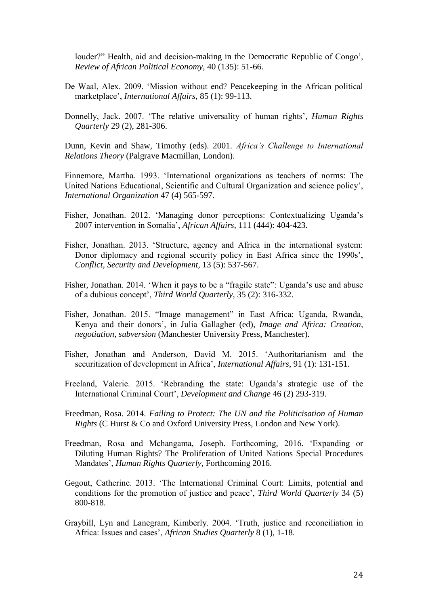louder?" Health, aid and decision-making in the Democratic Republic of Congo', *Review of African Political Economy*, 40 (135): 51-66.

- De Waal, Alex. 2009. 'Mission without end? Peacekeeping in the African political marketplace', *International Affairs*, 85 (1): 99-113.
- Donnelly, Jack. 2007. 'The relative universality of human rights', *Human Rights Quarterly* 29 (2), 281-306.

Dunn, Kevin and Shaw, Timothy (eds). 2001. *Africa's Challenge to International Relations Theory* (Palgrave Macmillan, London).

Finnemore, Martha. 1993. 'International organizations as teachers of norms: The United Nations Educational, Scientific and Cultural Organization and science policy', *International Organization* 47 (4) 565-597.

- Fisher, Jonathan. 2012. 'Managing donor perceptions: Contextualizing Uganda's 2007 intervention in Somalia', *African Affairs*, 111 (444): 404-423.
- Fisher, Jonathan. 2013. 'Structure, agency and Africa in the international system: Donor diplomacy and regional security policy in East Africa since the 1990s', *Conflict, Security and Development*, 13 (5): 537-567.
- Fisher, Jonathan. 2014. 'When it pays to be a "fragile state": Uganda's use and abuse of a dubious concept', *Third World Quarterly*, 35 (2): 316-332.
- Fisher, Jonathan. 2015. "Image management" in East Africa: Uganda, Rwanda, Kenya and their donors', in Julia Gallagher (ed), *Image and Africa: Creation, negotiation, subversion* (Manchester University Press, Manchester).
- Fisher, Jonathan and Anderson, David M. 2015. 'Authoritarianism and the securitization of development in Africa', *International Affairs*, 91 (1): 131-151.
- Freeland, Valerie. 2015. 'Rebranding the state: Uganda's strategic use of the International Criminal Court', *Development and Change* 46 (2) 293-319.
- Freedman, Rosa. 2014. *Failing to Protect: The UN and the Politicisation of Human Rights* (C Hurst & Co and Oxford University Press, London and New York).
- Freedman, Rosa and Mchangama, Joseph. Forthcoming, 2016. 'Expanding or Diluting Human Rights? The Proliferation of United Nations Special Procedures Mandates', *Human Rights Quarterly*, Forthcoming 2016.
- Gegout, Catherine. 2013. 'The International Criminal Court: Limits, potential and conditions for the promotion of justice and peace', *Third World Quarterly* 34 (5) 800-818.
- Graybill, Lyn and Lanegram, Kimberly. 2004. 'Truth, justice and reconciliation in Africa: Issues and cases', *African Studies Quarterly* 8 (1), 1-18.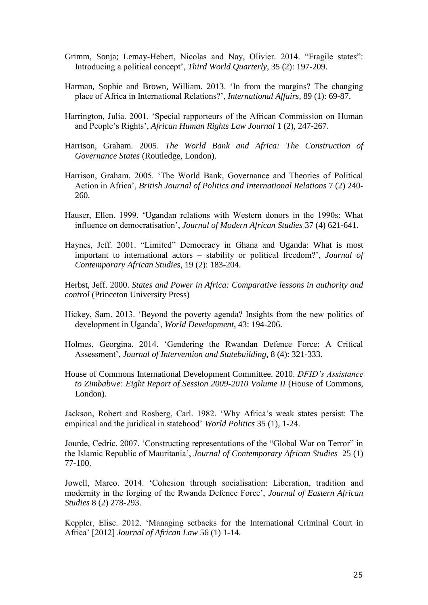- Grimm, Sonja; Lemay-Hebert, Nicolas and Nay, Olivier. 2014. "Fragile states": Introducing a political concept', *Third World Quarterly*, 35 (2): 197-209.
- Harman, Sophie and Brown, William. 2013. 'In from the margins? The changing place of Africa in International Relations?', *International Affairs*, 89 (1): 69-87.
- Harrington, Julia. 2001. 'Special rapporteurs of the African Commission on Human and People's Rights', *African Human Rights Law Journal* 1 (2), 247-267.
- Harrison, Graham. 2005. *The World Bank and Africa: The Construction of Governance States* (Routledge, London).
- Harrison, Graham. 2005. 'The World Bank, Governance and Theories of Political Action in Africa', *British Journal of Politics and International Relations* 7 (2) 240- 260.
- Hauser, Ellen. 1999. 'Ugandan relations with Western donors in the 1990s: What influence on democratisation', *Journal of Modern African Studies* 37 (4) 621-641.
- Haynes, Jeff. 2001. "Limited" Democracy in Ghana and Uganda: What is most important to international actors – stability or political freedom?', *Journal of Contemporary African Studies*, 19 (2): 183-204.

Herbst, Jeff. 2000. *States and Power in Africa: Comparative lessons in authority and control* (Princeton University Press)

- Hickey, Sam. 2013. 'Beyond the poverty agenda? Insights from the new politics of development in Uganda', *World Development*, 43: 194-206.
- Holmes, Georgina. 2014. 'Gendering the Rwandan Defence Force: A Critical Assessment', *Journal of Intervention and Statebuilding*, 8 (4): 321-333.
- House of Commons International Development Committee. 2010. *DFID's Assistance to Zimbabwe: Eight Report of Session 2009-2010 Volume II* (House of Commons, London).

Jackson, Robert and Rosberg, Carl. 1982. 'Why Africa's weak states persist: The empirical and the juridical in statehood' *World Politics* 35 (1), 1-24.

Jourde, Cedric. 2007. 'Constructing representations of the "Global War on Terror" in the Islamic Republic of Mauritania', *Journal of Contemporary African Studies* 25 (1) 77-100.

Jowell, Marco. 2014. 'Cohesion through socialisation: Liberation, tradition and modernity in the forging of the Rwanda Defence Force', *Journal of Eastern African Studies* 8 (2) 278-293.

Keppler, Elise. 2012. 'Managing setbacks for the International Criminal Court in Africa' [2012] *Journal of African Law* 56 (1) 1-14.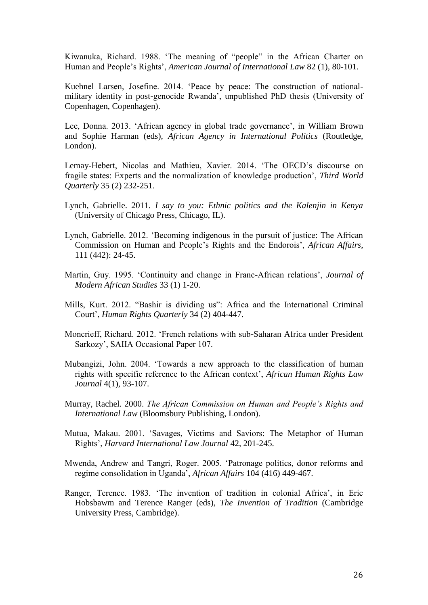Kiwanuka, Richard. 1988. 'The meaning of "people" in the African Charter on Human and People's Rights', *American Journal of International Law* 82 (1), 80-101.

Kuehnel Larsen, Josefine. 2014. 'Peace by peace: The construction of nationalmilitary identity in post-genocide Rwanda', unpublished PhD thesis (University of Copenhagen, Copenhagen).

Lee, Donna. 2013. 'African agency in global trade governance', in William Brown and Sophie Harman (eds), *African Agency in International Politics* (Routledge, London).

Lemay-Hebert, Nicolas and Mathieu, Xavier. 2014. 'The OECD's discourse on fragile states: Experts and the normalization of knowledge production', *Third World Quarterly* 35 (2) 232-251.

- Lynch, Gabrielle. 2011. *I say to you: Ethnic politics and the Kalenjin in Kenya* (University of Chicago Press, Chicago, IL).
- Lynch, Gabrielle. 2012. 'Becoming indigenous in the pursuit of justice: The African Commission on Human and People's Rights and the Endorois', *African Affairs*, 111 (442): 24-45.
- Martin, Guy. 1995. 'Continuity and change in Franc-African relations', *Journal of Modern African Studies* 33 (1) 1-20.
- Mills, Kurt. 2012. "Bashir is dividing us": Africa and the International Criminal Court', *Human Rights Quarterly* 34 (2) 404-447.
- Moncrieff, Richard. 2012. 'French relations with sub-Saharan Africa under President Sarkozy', SAIIA Occasional Paper 107.
- Mubangizi, John. 2004. 'Towards a new approach to the classification of human rights with specific reference to the African context', *African Human Rights Law Journal* 4(1), 93-107.
- Murray, Rachel. 2000. *The African Commission on Human and People's Rights and International Law* (Bloomsbury Publishing, London).
- Mutua, Makau. 2001. 'Savages, Victims and Saviors: The Metaphor of Human Rights', *Harvard International Law Journal* 42, 201-245.
- Mwenda, Andrew and Tangri, Roger. 2005. 'Patronage politics, donor reforms and regime consolidation in Uganda', *African Affairs* 104 (416) 449-467.
- Ranger, Terence. 1983. 'The invention of tradition in colonial Africa', in Eric Hobsbawm and Terence Ranger (eds), *The Invention of Tradition* (Cambridge University Press, Cambridge).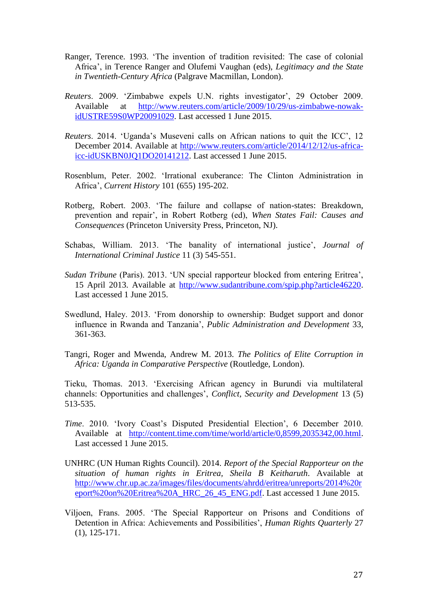- Ranger, Terence. 1993. 'The invention of tradition revisited: The case of colonial Africa', in Terence Ranger and Olufemi Vaughan (eds), *Legitimacy and the State in Twentieth-Century Africa* (Palgrave Macmillan, London).
- *Reuters*. 2009. 'Zimbabwe expels U.N. rights investigator', 29 October 2009. Available at [http://www.reuters.com/article/2009/10/29/us-zimbabwe-nowak](http://www.reuters.com/article/2009/10/29/us-zimbabwe-nowak-idUSTRE59S0WP20091029)[idUSTRE59S0WP20091029.](http://www.reuters.com/article/2009/10/29/us-zimbabwe-nowak-idUSTRE59S0WP20091029) Last accessed 1 June 2015.
- *Reuters*. 2014. 'Uganda's Museveni calls on African nations to quit the ICC', 12 December 2014. Available at [http://www.reuters.com/article/2014/12/12/us-africa](http://www.reuters.com/article/2014/12/12/us-africa-icc-idUSKBN0JQ1DO20141212)[icc-idUSKBN0JQ1DO20141212.](http://www.reuters.com/article/2014/12/12/us-africa-icc-idUSKBN0JQ1DO20141212) Last accessed 1 June 2015.
- Rosenblum, Peter. 2002. 'Irrational exuberance: The Clinton Administration in Africa', *Current History* 101 (655) 195-202.
- Rotberg, Robert. 2003. 'The failure and collapse of nation-states: Breakdown, prevention and repair', in Robert Rotberg (ed), *When States Fail: Causes and Consequences* (Princeton University Press, Princeton, NJ).
- Schabas, William. 2013. 'The banality of international justice', *Journal of International Criminal Justice* 11 (3) 545-551.
- *Sudan Tribune* (Paris). 2013. 'UN special rapporteur blocked from entering Eritrea', 15 April 2013. Available at [http://www.sudantribune.com/spip.php?article46220.](http://www.sudantribune.com/spip.php?article46220) Last accessed 1 June 2015.
- Swedlund, Haley. 2013. 'From donorship to ownership: Budget support and donor influence in Rwanda and Tanzania', *Public Administration and Development* 33, 361-363.
- Tangri, Roger and Mwenda, Andrew M. 2013. *The Politics of Elite Corruption in Africa: Uganda in Comparative Perspective* (Routledge, London).

Tieku, Thomas. 2013. 'Exercising African agency in Burundi via multilateral channels: Opportunities and challenges', *Conflict, Security and Development* 13 (5) 513-535.

- *Time*. 2010. 'Ivory Coast's Disputed Presidential Election', 6 December 2010. Available at [http://content.time.com/time/world/article/0,8599,2035342,00.html.](http://content.time.com/time/world/article/0,8599,2035342,00.html) Last accessed 1 June 2015.
- UNHRC (UN Human Rights Council). 2014. *Report of the Special Rapporteur on the situation of human rights in Eritrea, Sheila B Keitharuth*. Available at [http://www.chr.up.ac.za/images/files/documents/ahrdd/eritrea/unreports/2014%20r](http://www.chr.up.ac.za/images/files/documents/ahrdd/eritrea/unreports/2014%20report%20on%20Eritrea%20A_HRC_26_45_ENG.pdf) [eport%20on%20Eritrea%20A\\_HRC\\_26\\_45\\_ENG.pdf.](http://www.chr.up.ac.za/images/files/documents/ahrdd/eritrea/unreports/2014%20report%20on%20Eritrea%20A_HRC_26_45_ENG.pdf) Last accessed 1 June 2015.
- Viljoen, Frans. 2005. 'The Special Rapporteur on Prisons and Conditions of Detention in Africa: Achievements and Possibilities', *Human Rights Quarterly* 27 (1), 125-171.